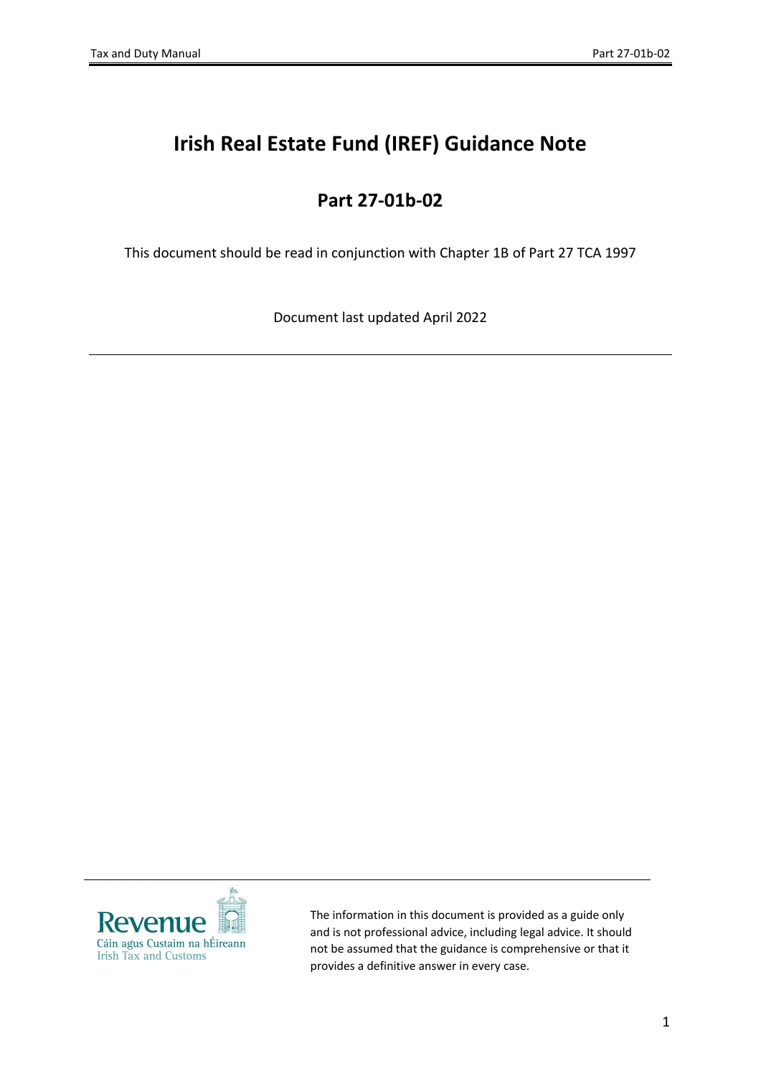# **Irish Real Estate Fund (IREF) Guidance Note**

# **Part 27-01b-02**

This document should be read in conjunction with Chapter 1B of Part 27 TCA 1997

Document last updated April 2022



The information in this document is provided as a guide only and is not professional advice, including legal advice. It should not be assumed that the guidance is comprehensive or that it provides a definitive answer in every case.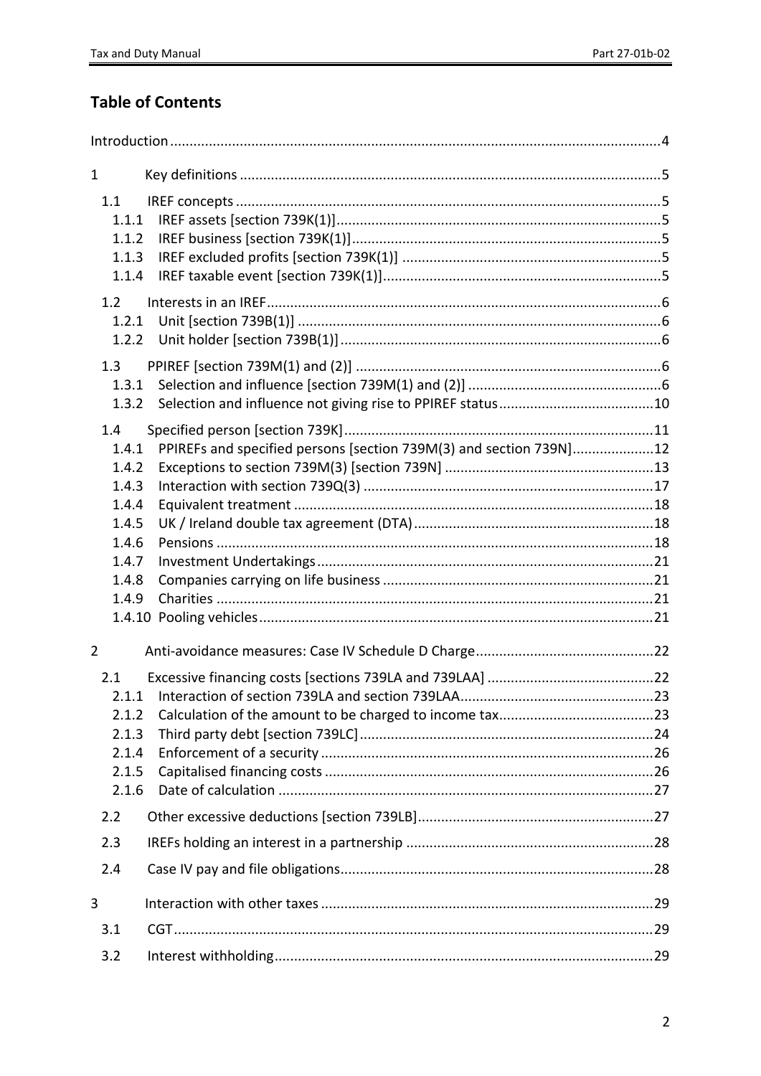# **Table of Contents**

| $\mathbf{1}$                                                                                                                    |  |
|---------------------------------------------------------------------------------------------------------------------------------|--|
| 1.1<br>1.1.1<br>1.1.2<br>1.1.3<br>1.1.4                                                                                         |  |
| 1.2<br>1.2.1<br>1.2.2                                                                                                           |  |
| 1.3<br>1.3.1<br>1.3.2                                                                                                           |  |
| 1.4<br>PPIREFs and specified persons [section 739M(3) and section 739N]12<br>1.4.1<br>1.4.2<br>1.4.3<br>1.4.4<br>1.4.5<br>1.4.6 |  |
| 1.4.7<br>1.4.8<br>1.4.9                                                                                                         |  |
| $\overline{2}$                                                                                                                  |  |
| 2.1<br>2.1.1<br>2.1.2<br>2.1.3<br>2.1.4<br>2.1.5<br>2.1.6                                                                       |  |
| 2.2                                                                                                                             |  |
| 2.3                                                                                                                             |  |
| 2.4                                                                                                                             |  |
| 3                                                                                                                               |  |
| 3.1                                                                                                                             |  |
| 3.2                                                                                                                             |  |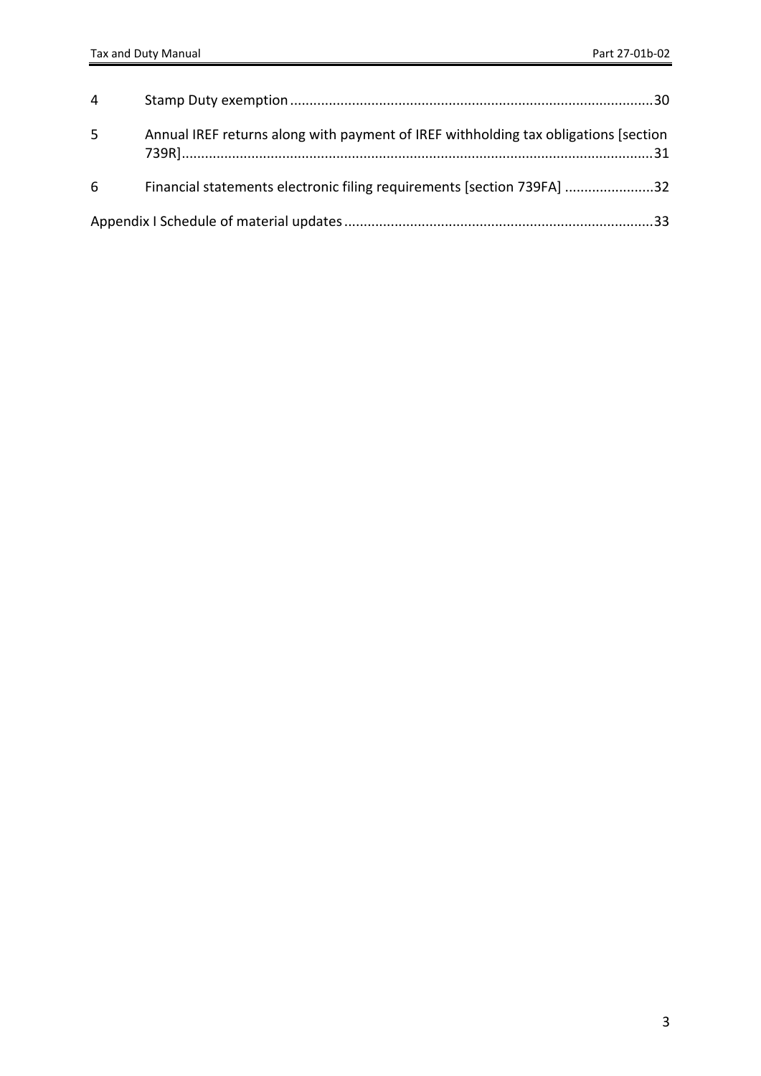| $\overline{4}$ |                                                                                     |  |
|----------------|-------------------------------------------------------------------------------------|--|
| 5              | Annual IREF returns along with payment of IREF withholding tax obligations [section |  |
| 6              | Financial statements electronic filing requirements [section 739FA] 32              |  |
|                |                                                                                     |  |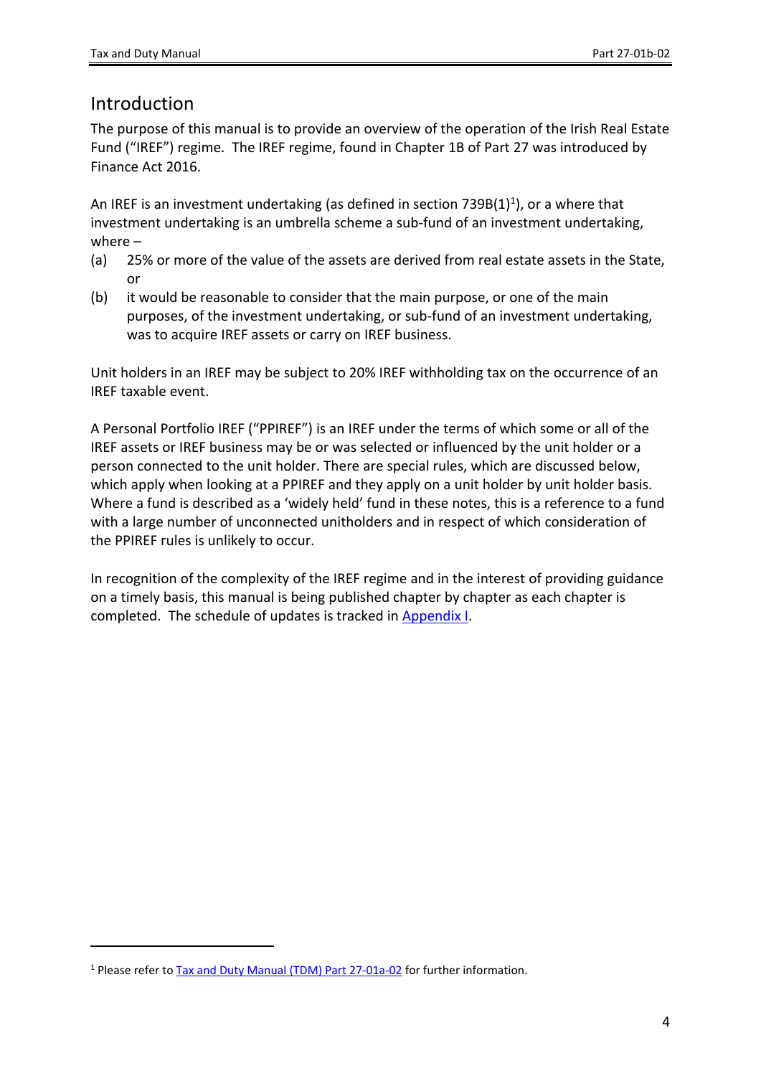## <span id="page-3-0"></span>Introduction

The purpose of this manual is to provide an overview of the operation of the Irish Real Estate Fund ("IREF") regime. The IREF regime, found in Chapter 1B of Part 27 was introduced by Finance Act 2016.

An IREF is an investment undertaking (as defined in section 739B(1)<sup>1</sup>), or a where that investment undertaking is an umbrella scheme a sub-fund of an investment undertaking, where –

- (a) 25% or more of the value of the assets are derived from real estate assets in the State, or
- (b) it would be reasonable to consider that the main purpose, or one of the main purposes, of the investment undertaking, or sub-fund of an investment undertaking, was to acquire IREF assets or carry on IREF business.

Unit holders in an IREF may be subject to 20% IREF withholding tax on the occurrence of an IREF taxable event.

A Personal Portfolio IREF ("PPIREF") is an IREF under the terms of which some or all of the IREF assets or IREF business may be or was selected or influenced by the unit holder or a person connected to the unit holder. There are special rules, which are discussed below, which apply when looking at a PPIREF and they apply on a unit holder by unit holder basis. Where a fund is described as a 'widely held' fund in these notes, this is a reference to a fund with a large number of unconnected unitholders and in respect of which consideration of the PPIREF rules is unlikely to occur.

In recognition of the complexity of the IREF regime and in the interest of providing guidance on a timely basis, this manual is being published chapter by chapter as each chapter is completed. The schedule of updates is tracked in [Appendix](#page-31-1) [I.](#page-31-1)

<sup>&</sup>lt;sup>1</sup> Please refer to **[Tax](https://www.revenue.ie/en/tax-professionals/tdm/income-tax-capital-gains-tax-corporation-tax/part-27/27-01a-02.pdf) [and](https://www.revenue.ie/en/tax-professionals/tdm/income-tax-capital-gains-tax-corporation-tax/part-27/27-01a-02.pdf) [Duty](https://www.revenue.ie/en/tax-professionals/tdm/income-tax-capital-gains-tax-corporation-tax/part-27/27-01a-02.pdf) [Manual](https://www.revenue.ie/en/tax-professionals/tdm/income-tax-capital-gains-tax-corporation-tax/part-27/27-01a-02.pdf) [\(TDM\)](https://www.revenue.ie/en/tax-professionals/tdm/income-tax-capital-gains-tax-corporation-tax/part-27/27-01a-02.pdf) [Part](https://www.revenue.ie/en/tax-professionals/tdm/income-tax-capital-gains-tax-corporation-tax/part-27/27-01a-02.pdf) [27-01a-02](https://www.revenue.ie/en/tax-professionals/tdm/income-tax-capital-gains-tax-corporation-tax/part-27/27-01a-02.pdf)** for further information.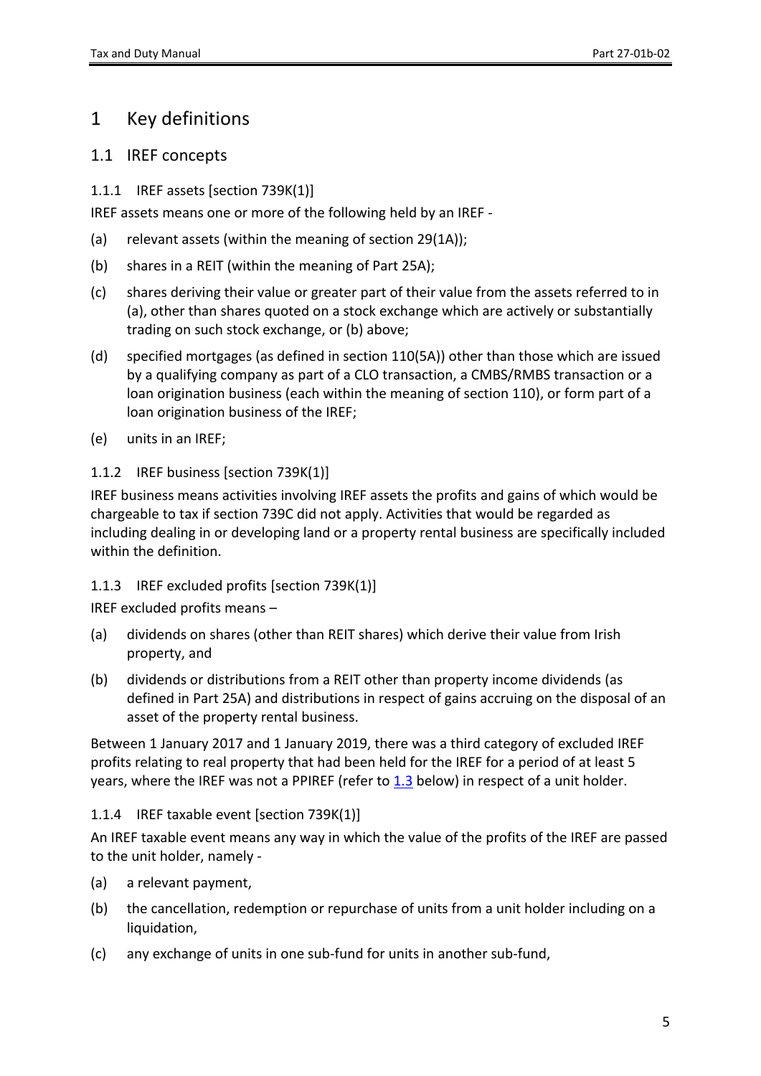# <span id="page-4-0"></span>1 Key definitions

#### <span id="page-4-1"></span>1.1 IREF concepts

<span id="page-4-2"></span>1.1.1 IREF assets [section 739K(1)]

IREF assets means one or more of the following held by an IREF -

- (a) relevant assets (within the meaning of section 29(1A));
- (b) shares in a REIT (within the meaning of Part 25A);
- (c) shares deriving their value or greater part of their value from the assets referred to in (a), other than shares quoted on a stock exchange which are actively or substantially trading on such stock exchange, or (b) above;
- (d) specified mortgages (as defined in section 110(5A)) other than those which are issued by a qualifying company as part of a CLO transaction, a CMBS/RMBS transaction or a loan origination business (each within the meaning of section 110), or form part of a loan origination business of the IREF;
- (e) units in an IREF;

#### <span id="page-4-3"></span>1.1.2 IREF business [section 739K(1)]

IREF business means activities involving IREF assets the profits and gains of which would be chargeable to tax if section 739C did not apply. Activities that would be regarded as including dealing in or developing land or a property rental business are specifically included within the definition.

#### <span id="page-4-4"></span>1.1.3 IREF excluded profits [section 739K(1)]

IREF excluded profits means –

- (a) dividends on shares (other than REIT shares) which derive their value from Irish property, and
- (b) dividends or distributions from a REIT other than property income dividends (as defined in Part 25A) and distributions in respect of gains accruing on the disposal of an asset of the property rental business.

Between 1 January 2017 and 1 January 2019, there was a third category of excluded IREF profits relating to real property that had been held for the IREF for a period of at least 5 years, where the IREF was not a PPIREF (refer to [1.3](#page-5-3) below) in respect of a unit holder.

<span id="page-4-5"></span>1.1.4 IREF taxable event [section 739K(1)]

An IREF taxable event means any way in which the value of the profits of the IREF are passed to the unit holder, namely -

- (a) a relevant payment,
- (b) the cancellation, redemption or repurchase of units from a unit holder including on a liquidation,
- (c) any exchange of units in one sub-fund for units in another sub-fund,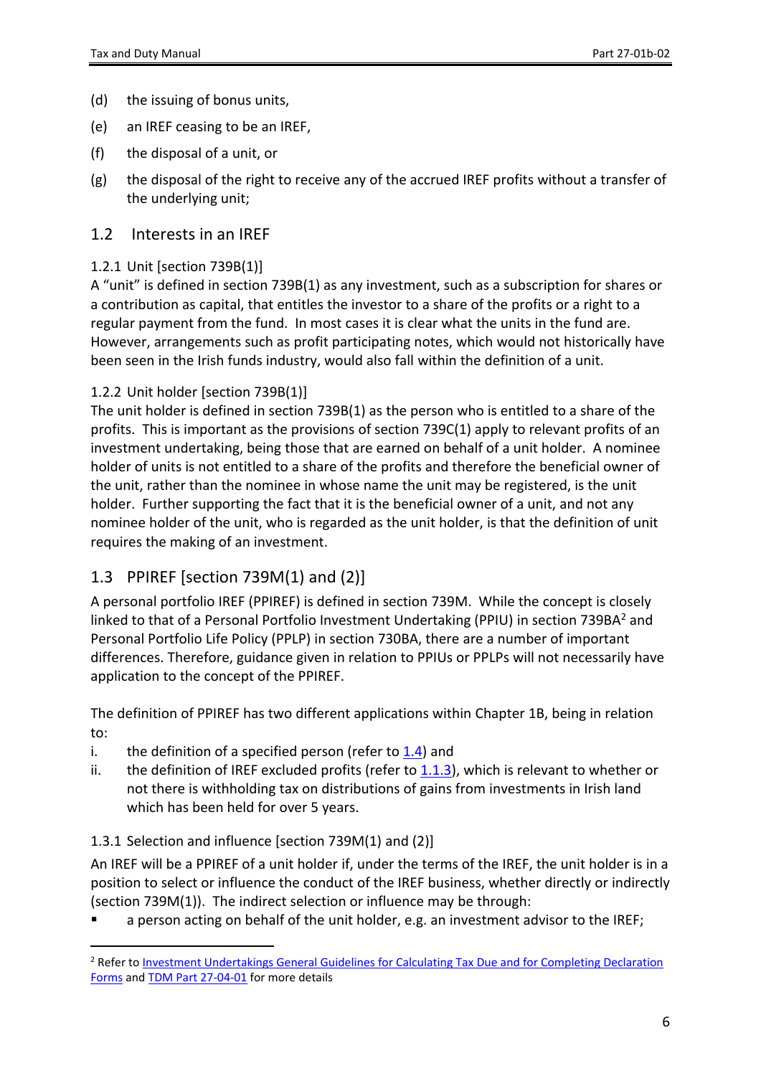- (d) the issuing of bonus units,
- (e) an IREF ceasing to be an IREF,
- (f) the disposal of a unit, or
- (g) the disposal of the right to receive any of the accrued IREF profits without a transfer of the underlying unit;

#### <span id="page-5-0"></span>1.2 Interests in an IREF

#### <span id="page-5-1"></span>1.2.1 Unit [section 739B(1)]

A "unit" is defined in section 739B(1) as any investment, such as a subscription for shares or a contribution as capital, that entitles the investor to a share of the profits or a right to a regular payment from the fund. In most cases it is clear what the units in the fund are. However, arrangements such as profit participating notes, which would not historically have been seen in the Irish funds industry, would also fall within the definition of a unit.

#### <span id="page-5-2"></span>1.2.2 Unit holder [section 739B(1)]

The unit holder is defined in section 739B(1) as the person who is entitled to a share of the profits. This is important as the provisions of section 739C(1) apply to relevant profits of an investment undertaking, being those that are earned on behalf of a unit holder. A nominee holder of units is not entitled to a share of the profits and therefore the beneficial owner of the unit, rather than the nominee in whose name the unit may be registered, is the unit holder. Further supporting the fact that it is the beneficial owner of a unit, and not any nominee holder of the unit, who is regarded as the unit holder, is that the definition of unit requires the making of an investment.

#### <span id="page-5-3"></span>1.3 PPIREF [section 739M(1) and (2)]

A personal portfolio IREF (PPIREF) is defined in section 739M. While the concept is closely linked to that of a Personal Portfolio Investment Undertaking (PPIU) in section 739BA<sup>2</sup> and Personal Portfolio Life Policy (PPLP) in section 730BA, there are a number of important differences. Therefore, guidance given in relation to PPIUs or PPLPs will not necessarily have application to the concept of the PPIREF.

The definition of PPIREF has two different applications within Chapter 1B, being in relation to:

- i. the definition of a specified person (refer to  $1.4$ ) and
- ii. the definition of IREF excluded profits (refer to [1.1.3](#page-4-4)), which is relevant to whether or not there is withholding tax on distributions of gains from investments in Irish land which has been held for over 5 years.

#### <span id="page-5-4"></span>1.3.1 Selection and influence [section 739M(1) and (2)]

An IREF will be a PPIREF of a unit holder if, under the terms of the IREF, the unit holder is in a position to select or influence the conduct of the IREF business, whether directly or indirectly (section 739M(1)). The indirect selection or influence may be through:

a person acting on behalf of the unit holder, e.g. an investment advisor to the IREF;

<sup>2</sup> Refer to [Investment](https://www.revenue.ie/en/tax-professionals/tdm/collection/agents-guide/agents-guide-to-collector-general.pdf) [Undertakings](https://www.revenue.ie/en/tax-professionals/tdm/collection/agents-guide/agents-guide-to-collector-general.pdf) [General](https://www.revenue.ie/en/tax-professionals/tdm/collection/agents-guide/agents-guide-to-collector-general.pdf) [Guidelines](https://www.revenue.ie/en/tax-professionals/tdm/collection/agents-guide/agents-guide-to-collector-general.pdf) [for](https://www.revenue.ie/en/tax-professionals/tdm/collection/agents-guide/agents-guide-to-collector-general.pdf) [Calculating](https://www.revenue.ie/en/tax-professionals/tdm/collection/agents-guide/agents-guide-to-collector-general.pdf) [Tax](https://www.revenue.ie/en/tax-professionals/tdm/collection/agents-guide/agents-guide-to-collector-general.pdf) [Due](https://www.revenue.ie/en/tax-professionals/tdm/collection/agents-guide/agents-guide-to-collector-general.pdf) [and](https://www.revenue.ie/en/tax-professionals/tdm/collection/agents-guide/agents-guide-to-collector-general.pdf) [for](https://www.revenue.ie/en/tax-professionals/tdm/collection/agents-guide/agents-guide-to-collector-general.pdf) [Completing](https://www.revenue.ie/en/tax-professionals/tdm/collection/agents-guide/agents-guide-to-collector-general.pdf) [Declaration](https://www.revenue.ie/en/tax-professionals/tdm/collection/agents-guide/agents-guide-to-collector-general.pdf) [Forms](https://www.revenue.ie/en/tax-professionals/tdm/collection/agents-guide/agents-guide-to-collector-general.pdf) and [TDM](http://www.revenue.ie/en/tax-professionals/tdm/income-tax-capital-gains-tax-corporation-tax/part-27/27-04-01.pdf) [Part](http://www.revenue.ie/en/tax-professionals/tdm/income-tax-capital-gains-tax-corporation-tax/part-27/27-04-01.pdf) [27-04-01](http://www.revenue.ie/en/tax-professionals/tdm/income-tax-capital-gains-tax-corporation-tax/part-27/27-04-01.pdf) for more details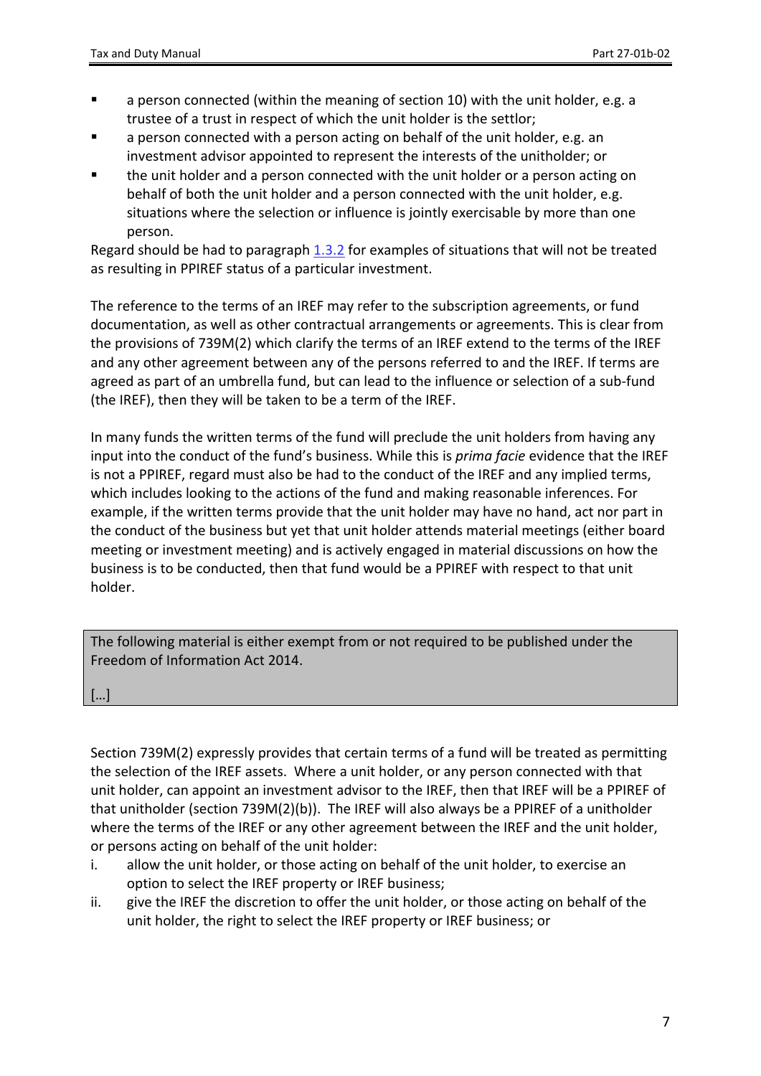- **EXECT** a person connected (within the meaning of section 10) with the unit holder, e.g. a trustee of a trust in respect of which the unit holder is the settlor;
- a person connected with a person acting on behalf of the unit holder, e.g. an investment advisor appointed to represent the interests of the unitholder; or
- the unit holder and a person connected with the unit holder or a person acting on behalf of both the unit holder and a person connected with the unit holder, e.g. situations where the selection or influence is jointly exercisable by more than one person.

Regard should be had to paragraph [1.3.2](#page-9-0) for examples of situations that will not be treated as resulting in PPIREF status of a particular investment.

The reference to the terms of an IREF may refer to the subscription agreements, or fund documentation, as well as other contractual arrangements or agreements. This is clear from the provisions of 739M(2) which clarify the terms of an IREF extend to the terms of the IREF and any other agreement between any of the persons referred to and the IREF. If terms are agreed as part of an umbrella fund, but can lead to the influence or selection of a sub-fund (the IREF), then they will be taken to be a term of the IREF.

In many funds the written terms of the fund will preclude the unit holders from having any input into the conduct of the fund's business. While this is *prima facie* evidence that the IREF is not a PPIREF, regard must also be had to the conduct of the IREF and any implied terms, which includes looking to the actions of the fund and making reasonable inferences. For example, if the written terms provide that the unit holder may have no hand, act nor part in the conduct of the business but yet that unit holder attends material meetings (either board meeting or investment meeting) and is actively engaged in material discussions on how the business is to be conducted, then that fund would be a PPIREF with respect to that unit holder.

The following material is either exempt from or not required to be published under the Freedom of Information Act 2014.

[…]

Section 739M(2) expressly provides that certain terms of a fund will be treated as permitting the selection of the IREF assets. Where a unit holder, or any person connected with that unit holder, can appoint an investment advisor to the IREF, then that IREF will be a PPIREF of that unitholder (section 739M(2)(b)). The IREF will also always be a PPIREF of a unitholder where the terms of the IREF or any other agreement between the IREF and the unit holder, or persons acting on behalf of the unit holder:

- i. allow the unit holder, or those acting on behalf of the unit holder, to exercise an option to select the IREF property or IREF business;
- ii. give the IREF the discretion to offer the unit holder, or those acting on behalf of the unit holder, the right to select the IREF property or IREF business; or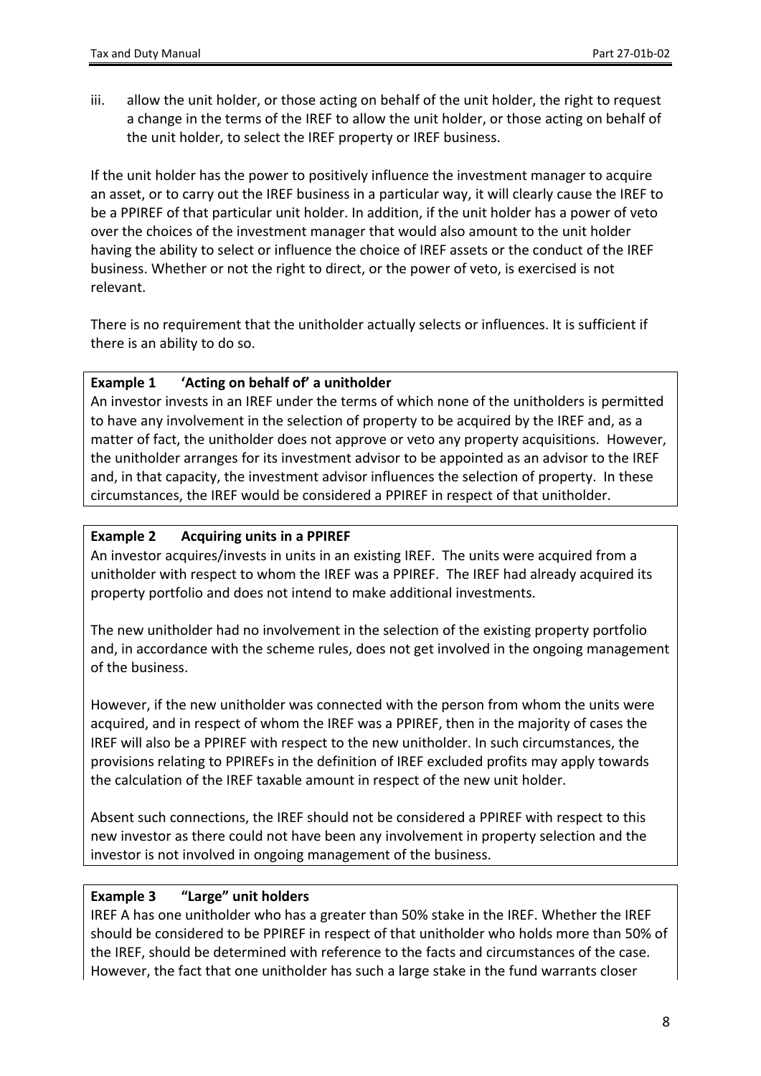iii. allow the unit holder, or those acting on behalf of the unit holder, the right to request a change in the terms of the IREF to allow the unit holder, or those acting on behalf of the unit holder, to select the IREF property or IREF business.

If the unit holder has the power to positively influence the investment manager to acquire an asset, or to carry out the IREF business in a particular way, it will clearly cause the IREF to be a PPIREF of that particular unit holder. In addition, if the unit holder has a power of veto over the choices of the investment manager that would also amount to the unit holder having the ability to select or influence the choice of IREF assets or the conduct of the IREF business. Whether or not the right to direct, or the power of veto, is exercised is not relevant.

There is no requirement that the unitholder actually selects or influences. It is sufficient if there is an ability to do so.

#### **Example 1 'Acting on behalf of' a unitholder**

An investor invests in an IREF under the terms of which none of the unitholders is permitted to have any involvement in the selection of property to be acquired by the IREF and, as a matter of fact, the unitholder does not approve or veto any property acquisitions. However, the unitholder arranges for its investment advisor to be appointed as an advisor to the IREF and, in that capacity, the investment advisor influences the selection of property. In these circumstances, the IREF would be considered a PPIREF in respect of that unitholder.

#### <span id="page-7-0"></span>**Example 2 Acquiring units in a PPIREF**

An investor acquires/invests in units in an existing IREF. The units were acquired from a unitholder with respect to whom the IREF was a PPIREF. The IREF had already acquired its property portfolio and does not intend to make additional investments.

The new unitholder had no involvement in the selection of the existing property portfolio and, in accordance with the scheme rules, does not get involved in the ongoing management of the business.

However, if the new unitholder was connected with the person from whom the units were acquired, and in respect of whom the IREF was a PPIREF, then in the majority of cases the IREF will also be a PPIREF with respect to the new unitholder. In such circumstances, the provisions relating to PPIREFs in the definition of IREF excluded profits may apply towards the calculation of the IREF taxable amount in respect of the new unit holder.

Absent such connections, the IREF should not be considered a PPIREF with respect to this new investor as there could not have been any involvement in property selection and the investor is not involved in ongoing management of the business.

#### **Example 3 "Large" unit holders**

IREF A has one unitholder who has a greater than 50% stake in the IREF. Whether the IREF should be considered to be PPIREF in respect of that unitholder who holds more than 50% of the IREF, should be determined with reference to the facts and circumstances of the case. However, the fact that one unitholder has such a large stake in the fund warrants closer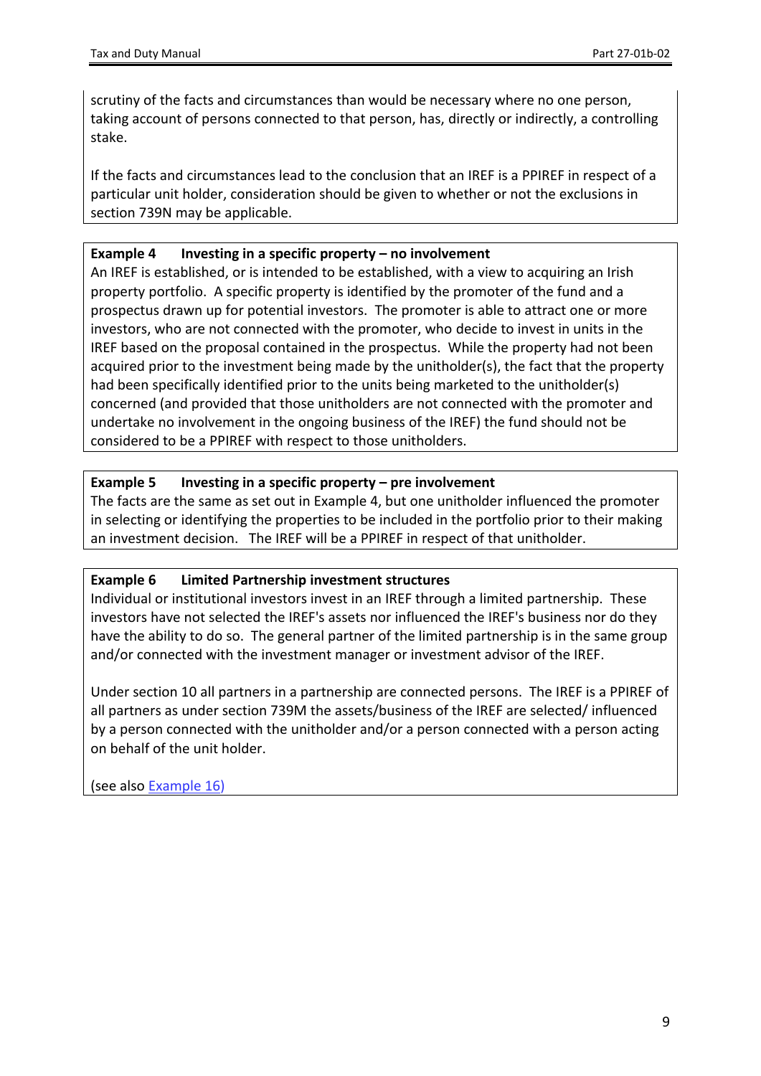scrutiny of the facts and circumstances than would be necessary where no one person, taking account of persons connected to that person, has, directly or indirectly, a controlling stake.

If the facts and circumstances lead to the conclusion that an IREF is a PPIREF in respect of a particular unit holder, consideration should be given to whether or not the exclusions in section 739N may be applicable.

#### <span id="page-8-0"></span>**Example 4 Investing in a specific property – no involvement**

An IREF is established, or is intended to be established, with a view to acquiring an Irish property portfolio. A specific property is identified by the promoter of the fund and a prospectus drawn up for potential investors. The promoter is able to attract one or more investors, who are not connected with the promoter, who decide to invest in units in the IREF based on the proposal contained in the prospectus. While the property had not been acquired prior to the investment being made by the unitholder(s), the fact that the property had been specifically identified prior to the units being marketed to the unitholder(s) concerned (and provided that those unitholders are not connected with the promoter and undertake no involvement in the ongoing business of the IREF) the fund should not be considered to be a PPIREF with respect to those unitholders.

#### **Example 5 Investing in a specific property – pre involvement**

The facts are the same as set out in [Example](#page-8-0) [4,](#page-8-0) but one unitholder influenced the promoter in selecting or identifying the properties to be included in the portfolio prior to their making an investment decision. The IREF will be a PPIREF in respect of that unitholder.

#### <span id="page-8-1"></span>**Example 6 Limited Partnership investment structures**

Individual or institutional investors invest in an IREF through a limited partnership. These investors have not selected the IREF's assets nor influenced the IREF's business nor do they have the ability to do so. The general partner of the limited partnership is in the same group and/or connected with the investment manager or investment advisor of the IREF.

Under section 10 all partners in a partnership are connected persons. The IREF is a PPIREF of all partners as under section 739M the assets/business of the IREF are selected/ influenced by a person connected with the unitholder and/or a person connected with a person acting on behalf of the unit holder.

(see also **[Example](#page-16-1) [16](#page-16-1))**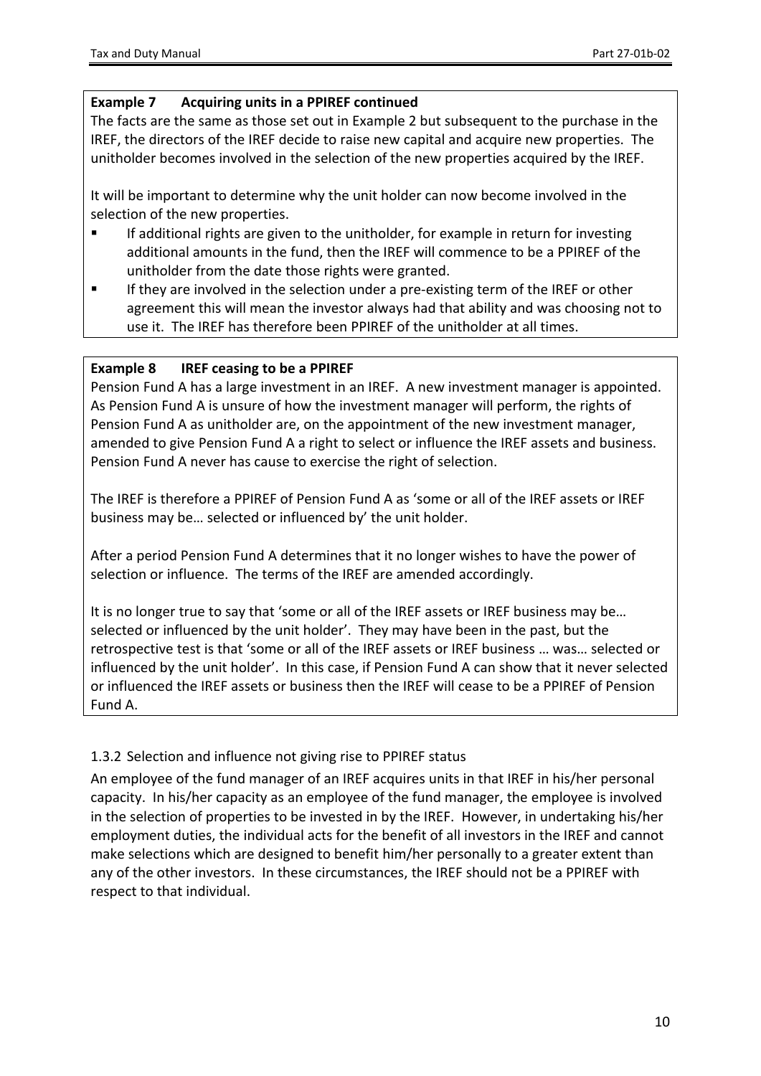#### **Example 7 Acquiring units in a PPIREF continued**

The facts are the same as those set out in [Example](#page-7-0) [2](#page-7-0) but subsequent to the purchase in the IREF, the directors of the IREF decide to raise new capital and acquire new properties. The unitholder becomes involved in the selection of the new properties acquired by the IREF.

It will be important to determine why the unit holder can now become involved in the selection of the new properties.

- If additional rights are given to the unitholder, for example in return for investing additional amounts in the fund, then the IREF will commence to be a PPIREF of the unitholder from the date those rights were granted.
- If they are involved in the selection under a pre-existing term of the IREF or other agreement this will mean the investor always had that ability and was choosing not to use it. The IREF has therefore been PPIREF of the unitholder at all times.

#### **Example 8 IREF ceasing to be a PPIREF**

Pension Fund A has a large investment in an IREF. A new investment manager is appointed. As Pension Fund A is unsure of how the investment manager will perform, the rights of Pension Fund A as unitholder are, on the appointment of the new investment manager, amended to give Pension Fund A a right to select or influence the IREF assets and business. Pension Fund A never has cause to exercise the right of selection.

The IREF is therefore a PPIREF of Pension Fund A as 'some or all of the IREF assets or IREF business may be… selected or influenced by' the unit holder.

After a period Pension Fund A determines that it no longer wishes to have the power of selection or influence. The terms of the IREF are amended accordingly.

It is no longer true to say that 'some or all of the IREF assets or IREF business may be... selected or influenced by the unit holder'. They may have been in the past, but the retrospective test is that 'some or all of the IREF assets or IREF business … was… selected or influenced by the unit holder'. In this case, if Pension Fund A can show that it never selected or influenced the IREF assets or business then the IREF will cease to be a PPIREF of Pension Fund A.

#### <span id="page-9-0"></span>1.3.2 Selection and influence not giving rise to PPIREF status

An employee of the fund manager of an IREF acquires units in that IREF in his/her personal capacity. In his/her capacity as an employee of the fund manager, the employee is involved in the selection of properties to be invested in by the IREF. However, in undertaking his/her employment duties, the individual acts for the benefit of all investors in the IREF and cannot make selections which are designed to benefit him/her personally to a greater extent than any of the other investors. In these circumstances, the IREF should not be a PPIREF with respect to that individual.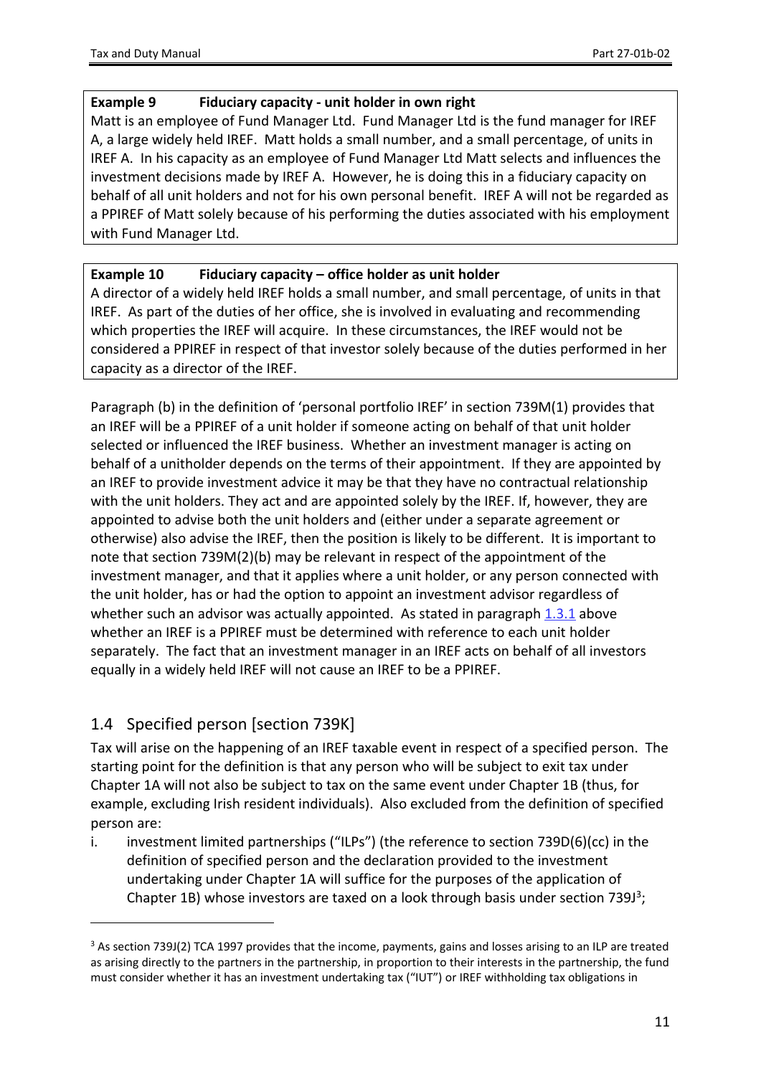#### **Example 9 Fiduciary capacity - unit holder in own right**

Matt is an employee of Fund Manager Ltd. Fund Manager Ltd is the fund manager for IREF A, a large widely held IREF. Matt holds a small number, and a small percentage, of units in IREF A. In his capacity as an employee of Fund Manager Ltd Matt selects and influences the investment decisions made by IREF A. However, he is doing this in a fiduciary capacity on behalf of all unit holders and not for his own personal benefit. IREF A will not be regarded as a PPIREF of Matt solely because of his performing the duties associated with his employment with Fund Manager Ltd.

#### **Example 10 Fiduciary capacity – office holder as unit holder**

A director of a widely held IREF holds a small number, and small percentage, of units in that IREF. As part of the duties of her office, she is involved in evaluating and recommending which properties the IREF will acquire. In these circumstances, the IREF would not be considered a PPIREF in respect of that investor solely because of the duties performed in her capacity as a director of the IREF.

Paragraph (b) in the definition of 'personal portfolio IREF' in section 739M(1) provides that an IREF will be a PPIREF of a unit holder if someone acting on behalf of that unit holder selected or influenced the IREF business. Whether an investment manager is acting on behalf of a unitholder depends on the terms of their appointment. If they are appointed by an IREF to provide investment advice it may be that they have no contractual relationship with the unit holders. They act and are appointed solely by the IREF. If, however, they are appointed to advise both the unit holders and (either under a separate agreement or otherwise) also advise the IREF, then the position is likely to be different. It is important to note that section 739M(2)(b) may be relevant in respect of the appointment of the investment manager, and that it applies where a unit holder, or any person connected with the unit holder, has or had the option to appoint an investment advisor regardless of whether such an advisor was actually appointed. As stated in paragraph [1.3.1](#page-5-4) above whether an IREF is a PPIREF must be determined with reference to each unit holder separately. The fact that an investment manager in an IREF acts on behalf of all investors equally in a widely held IREF will not cause an IREF to be a PPIREF.

### <span id="page-10-0"></span>1.4 Specified person [section 739K]

Tax will arise on the happening of an IREF taxable event in respect of a specified person. The starting point for the definition is that any person who will be subject to exit tax under Chapter 1A will not also be subject to tax on the same event under Chapter 1B (thus, for example, excluding Irish resident individuals). Also excluded from the definition of specified person are:

i. investment limited partnerships ("ILPs") (the reference to section 739D(6)(cc) in the definition of specified person and the declaration provided to the investment undertaking under Chapter 1A will suffice for the purposes of the application of Chapter 1B) whose investors are taxed on a look through basis under section 739J<sup>3</sup>;

<sup>3</sup> As section 739J(2) TCA 1997 provides that the income, payments, gains and losses arising to an ILP are treated as arising directly to the partners in the partnership, in proportion to their interests in the partnership, the fund must consider whether it has an investment undertaking tax ("IUT") or IREF withholding tax obligations in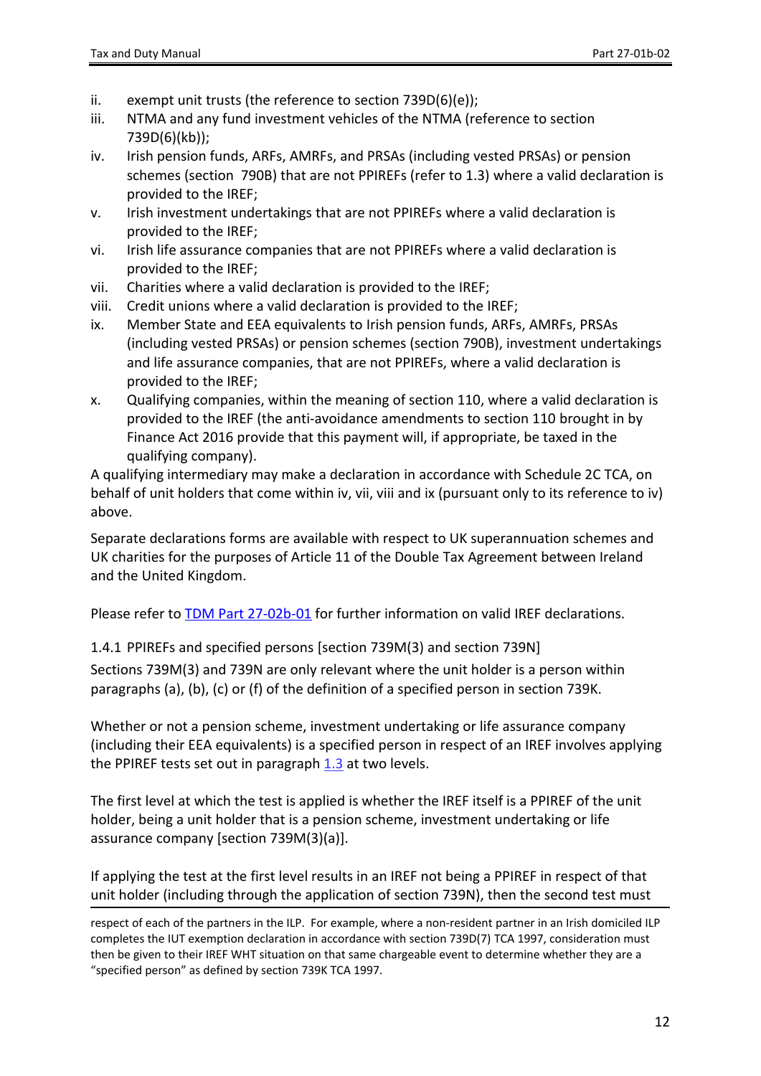- ii. exempt unit trusts (the reference to section 739D(6)(e));
- iii. NTMA and any fund investment vehicles of the NTMA (reference to section 739D(6)(kb));
- iv. Irish pension funds, ARFs, AMRFs, and PRSAs (including vested PRSAs) or pension schemes (section 790B) that are not PPIREFs (refer to [1.3\)](#page-5-3) where a valid declaration is provided to the IREF;
- v. Irish investment undertakings that are not PPIREFs where a valid declaration is provided to the IREF;
- vi. Irish life assurance companies that are not PPIREFs where a valid declaration is provided to the IREF;
- vii. Charities where a valid declaration is provided to the IREF;
- viii. Credit unions where a valid declaration is provided to the IREF;
- ix. Member State and EEA equivalents to Irish pension funds, ARFs, AMRFs, PRSAs (including vested PRSAs) or pension schemes (section 790B), investment undertakings and life assurance companies, that are not PPIREFs, where a valid declaration is provided to the IREF;
- x. Qualifying companies, within the meaning of section 110, where a valid declaration is provided to the IREF (the anti-avoidance amendments to section 110 brought in by Finance Act 2016 provide that this payment will, if appropriate, be taxed in the qualifying company).

A qualifying intermediary may make a declaration in accordance with Schedule 2C TCA, on behalf of unit holders that come within iv, vii, viii and ix (pursuant only to its reference to iv) above.

Separate declarations forms are available with respect to UK superannuation schemes and UK charities for the purposes of Article 11 of the Double Tax Agreement between Ireland and the United Kingdom.

<span id="page-11-0"></span>Please refer to [TDM](https://www.revenue.ie/en/tax-professionals/tdm/income-tax-capital-gains-tax-corporation-tax/part-27/27-02B-01.pdf) [Part](https://www.revenue.ie/en/tax-professionals/tdm/income-tax-capital-gains-tax-corporation-tax/part-27/27-02B-01.pdf) [27-02b-01](https://www.revenue.ie/en/tax-professionals/tdm/income-tax-capital-gains-tax-corporation-tax/part-27/27-02B-01.pdf) for further information on valid IREF declarations.

1.4.1 PPIREFs and specified persons [section 739M(3) and section 739N] Sections 739M(3) and 739N are only relevant where the unit holder is a person within paragraphs (a), (b), (c) or (f) of the definition of a specified person in section 739K.

Whether or not a pension scheme, investment undertaking or life assurance company (including their EEA equivalents) is a specified person in respect of an IREF involves applying the PPIREF tests set out in paragraph [1.3](#page-5-3) at two levels.

The first level at which the test is applied is whether the IREF itself is a PPIREF of the unit holder, being a unit holder that is a pension scheme, investment undertaking or life assurance company [section 739M(3)(a)].

If applying the test at the first level results in an IREF not being a PPIREF in respect of that unit holder (including through the application of section 739N), then the second test must

respect of each of the partners in the ILP. For example, where a non-resident partner in an Irish domiciled ILP completes the IUT exemption declaration in accordance with section 739D(7) TCA 1997, consideration must then be given to their IREF WHT situation on that same chargeable event to determine whether they are a "specified person" as defined by section 739K TCA 1997.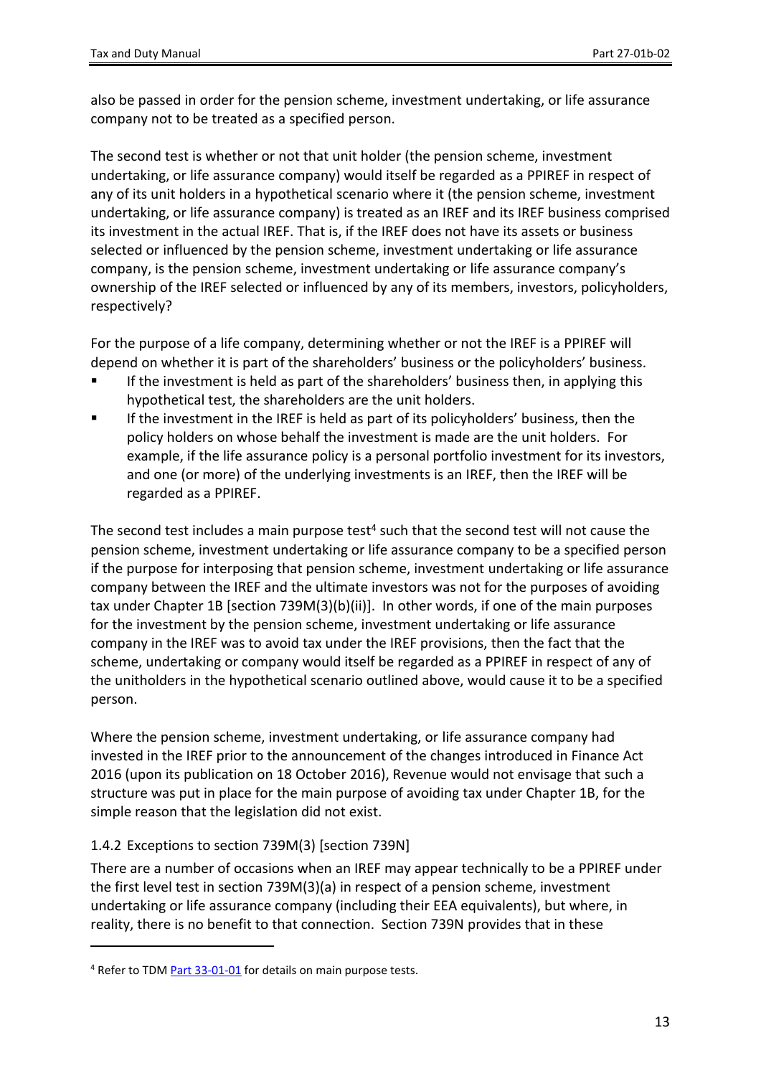also be passed in order for the pension scheme, investment undertaking, or life assurance company not to be treated as a specified person.

The second test is whether or not that unit holder (the pension scheme, investment undertaking, or life assurance company) would itself be regarded as a PPIREF in respect of any of its unit holders in a hypothetical scenario where it (the pension scheme, investment undertaking, or life assurance company) is treated as an IREF and its IREF business comprised its investment in the actual IREF. That is, if the IREF does not have its assets or business selected or influenced by the pension scheme, investment undertaking or life assurance company, is the pension scheme, investment undertaking or life assurance company's ownership of the IREF selected or influenced by any of its members, investors, policyholders, respectively?

For the purpose of a life company, determining whether or not the IREF is a PPIREF will depend on whether it is part of the shareholders' business or the policyholders' business.

- If the investment is held as part of the shareholders' business then, in applying this hypothetical test, the shareholders are the unit holders.
- If the investment in the IREF is held as part of its policyholders' business, then the policy holders on whose behalf the investment is made are the unit holders. For example, if the life assurance policy is a personal portfolio investment for its investors, and one (or more) of the underlying investments is an IREF, then the IREF will be regarded as a PPIREF.

The second test includes a main purpose test<sup>4</sup> such that the second test will not cause the pension scheme, investment undertaking or life assurance company to be a specified person if the purpose for interposing that pension scheme, investment undertaking or life assurance company between the IREF and the ultimate investors was not for the purposes of avoiding tax under Chapter 1B [section 739M(3)(b)(ii)]. In other words, if one of the main purposes for the investment by the pension scheme, investment undertaking or life assurance company in the IREF was to avoid tax under the IREF provisions, then the fact that the scheme, undertaking or company would itself be regarded as a PPIREF in respect of any of the unitholders in the hypothetical scenario outlined above, would cause it to be a specified person.

Where the pension scheme, investment undertaking, or life assurance company had invested in the IREF prior to the announcement of the changes introduced in Finance Act 2016 (upon its publication on 18 October 2016), Revenue would not envisage that such a structure was put in place for the main purpose of avoiding tax under Chapter 1B, for the simple reason that the legislation did not exist.

#### <span id="page-12-0"></span>1.4.2 Exceptions to section 739M(3) [section 739N]

There are a number of occasions when an IREF may appear technically to be a PPIREF under the first level test in section 739M(3)(a) in respect of a pension scheme, investment undertaking or life assurance company (including their EEA equivalents), but where, in reality, there is no benefit to that connection. Section 739N provides that in these

<sup>&</sup>lt;sup>4</sup> Refer to TDM [Part](https://www.revenue.ie/en/tax-professionals/tdm/income-tax-capital-gains-tax-corporation-tax/part-33/33-01-01.pdf) [33-01-01](https://www.revenue.ie/en/tax-professionals/tdm/income-tax-capital-gains-tax-corporation-tax/part-33/33-01-01.pdf) for details on main purpose tests.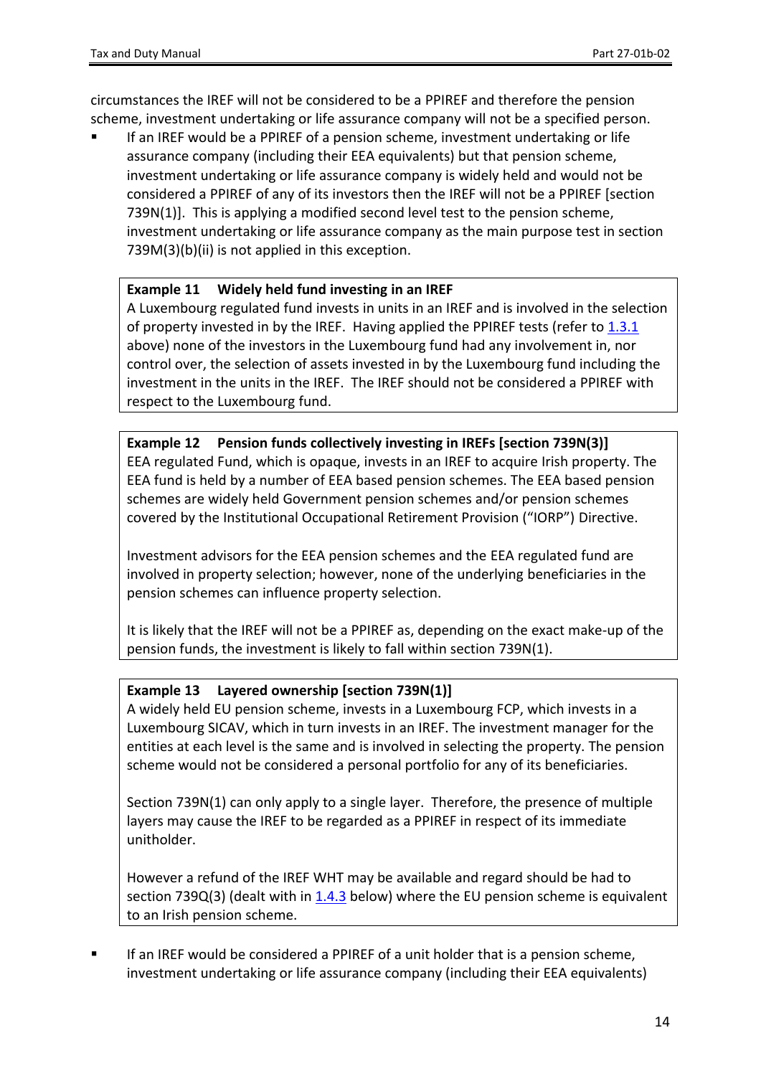circumstances the IREF will not be considered to be a PPIREF and therefore the pension scheme, investment undertaking or life assurance company will not be a specified person.

 If an IREF would be a PPIREF of a pension scheme, investment undertaking or life assurance company (including their EEA equivalents) but that pension scheme, investment undertaking or life assurance company is widely held and would not be considered a PPIREF of any of its investors then the IREF will not be a PPIREF [section 739N(1)]. This is applying a modified second level test to the pension scheme, investment undertaking or life assurance company as the main purpose test in section 739M(3)(b)(ii) is not applied in this exception.

#### **Example 11 Widely held fund investing in an IREF**

A Luxembourg regulated fund invests in units in an IREF and is involved in the selection of property invested in by the IREF. Having applied the PPIREF tests (refer to  $1.3.1$ above) none of the investors in the Luxembourg fund had any involvement in, nor control over, the selection of assets invested in by the Luxembourg fund including the investment in the units in the IREF. The IREF should not be considered a PPIREF with respect to the Luxembourg fund.

**Example 12 Pension funds collectively investing in IREFs [section 739N(3)]** EEA regulated Fund, which is opaque, invests in an IREF to acquire Irish property. The EEA fund is held by a number of EEA based pension schemes. The EEA based pension schemes are widely held Government pension schemes and/or pension schemes covered by the Institutional Occupational Retirement Provision ("IORP") Directive.

Investment advisors for the EEA pension schemes and the EEA regulated fund are involved in property selection; however, none of the underlying beneficiaries in the pension schemes can influence property selection.

It is likely that the IREF will not be a PPIREF as, depending on the exact make-up of the pension funds, the investment is likely to fall within section 739N(1).

#### **Example 13 Layered ownership [section 739N(1)]**

A widely held EU pension scheme, invests in a Luxembourg FCP, which invests in a Luxembourg SICAV, which in turn invests in an IREF. The investment manager for the entities at each level is the same and is involved in selecting the property. The pension scheme would not be considered a personal portfolio for any of its beneficiaries.

Section 739N(1) can only apply to a single layer. Therefore, the presence of multiple layers may cause the IREF to be regarded as a PPIREF in respect of its immediate unitholder.

However a refund of the IREF WHT may be available and regard should be had to section 739Q(3) (dealt with in [1.4.3](#page-16-0) below) where the EU pension scheme is equivalent to an Irish pension scheme.

 If an IREF would be considered a PPIREF of a unit holder that is a pension scheme, investment undertaking or life assurance company (including their EEA equivalents)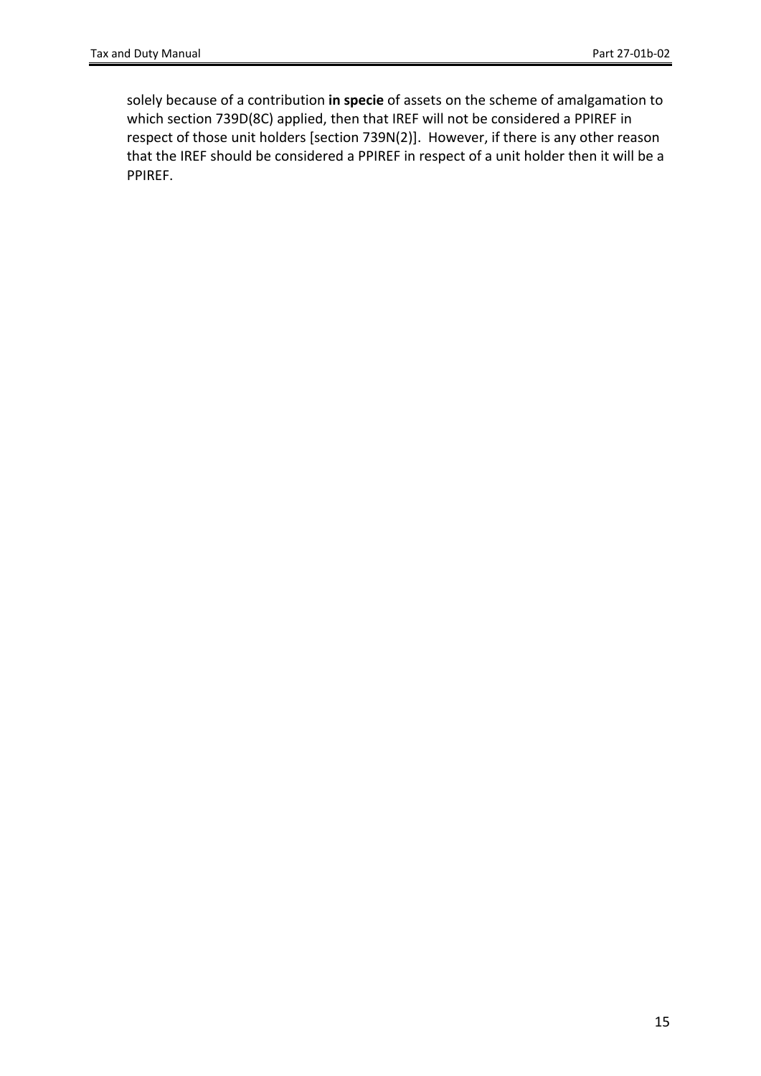solely because of a contribution **in specie** of assets on the scheme of amalgamation to which section 739D(8C) applied, then that IREF will not be considered a PPIREF in respect of those unit holders [section 739N(2)]. However, if there is any other reason that the IREF should be considered a PPIREF in respect of a unit holder then it will be a PPIREF.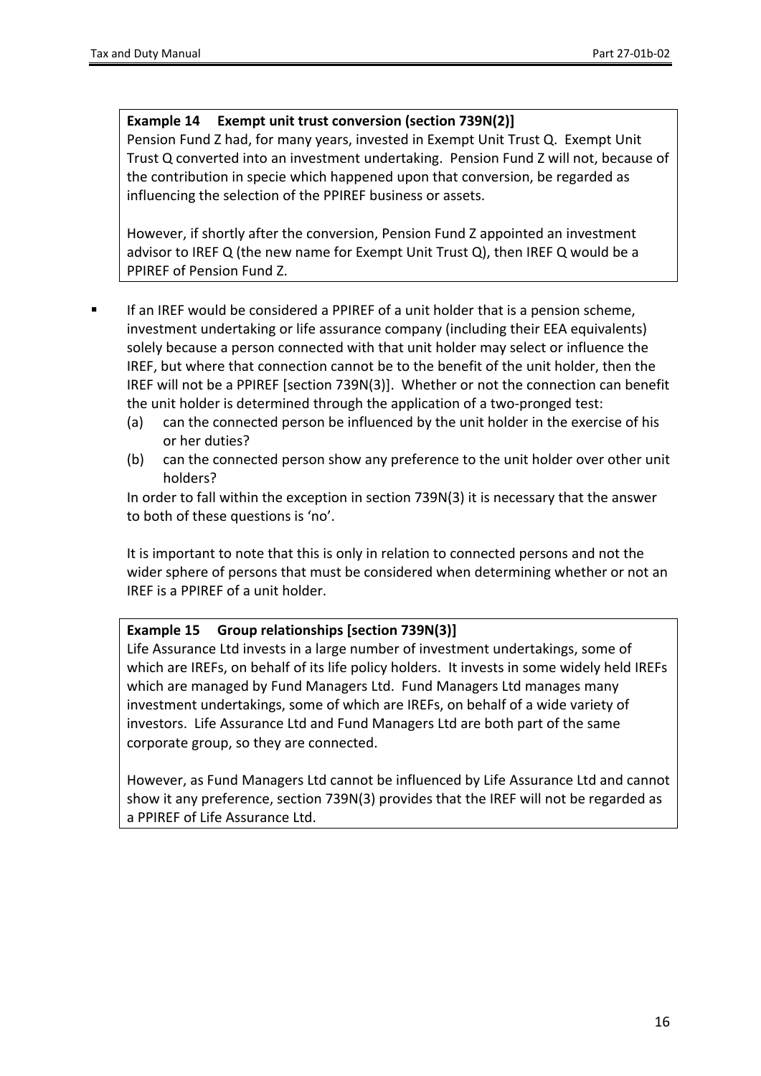#### **Example 14 Exempt unit trust conversion (section 739N(2)]**

Pension Fund Z had, for many years, invested in Exempt Unit Trust Q. Exempt Unit Trust Q converted into an investment undertaking. Pension Fund Z will not, because of the contribution in specie which happened upon that conversion, be regarded as influencing the selection of the PPIREF business or assets.

However, if shortly after the conversion, Pension Fund Z appointed an investment advisor to IREF Q (the new name for Exempt Unit Trust Q), then IREF Q would be a PPIREF of Pension Fund Z.

- If an IREF would be considered a PPIREF of a unit holder that is a pension scheme, investment undertaking or life assurance company (including their EEA equivalents) solely because a person connected with that unit holder may select or influence the IREF, but where that connection cannot be to the benefit of the unit holder, then the IREF will not be a PPIREF [section 739N(3)]. Whether or not the connection can benefit the unit holder is determined through the application of a two-pronged test:
	- (a) can the connected person be influenced by the unit holder in the exercise of his or her duties?
	- (b) can the connected person show any preference to the unit holder over other unit holders?

In order to fall within the exception in section 739N(3) it is necessary that the answer to both of these questions is 'no'.

It is important to note that this is only in relation to connected persons and not the wider sphere of persons that must be considered when determining whether or not an IREF is a PPIREF of a unit holder.

#### **Example 15 Group relationships [section 739N(3)]**

Life Assurance Ltd invests in a large number of investment undertakings, some of which are IREFs, on behalf of its life policy holders. It invests in some widely held IREFs which are managed by Fund Managers Ltd. Fund Managers Ltd manages many investment undertakings, some of which are IREFs, on behalf of a wide variety of investors. Life Assurance Ltd and Fund Managers Ltd are both part of the same corporate group, so they are connected.

However, as Fund Managers Ltd cannot be influenced by Life Assurance Ltd and cannot show it any preference, section 739N(3) provides that the IREF will not be regarded as a PPIREF of Life Assurance Ltd.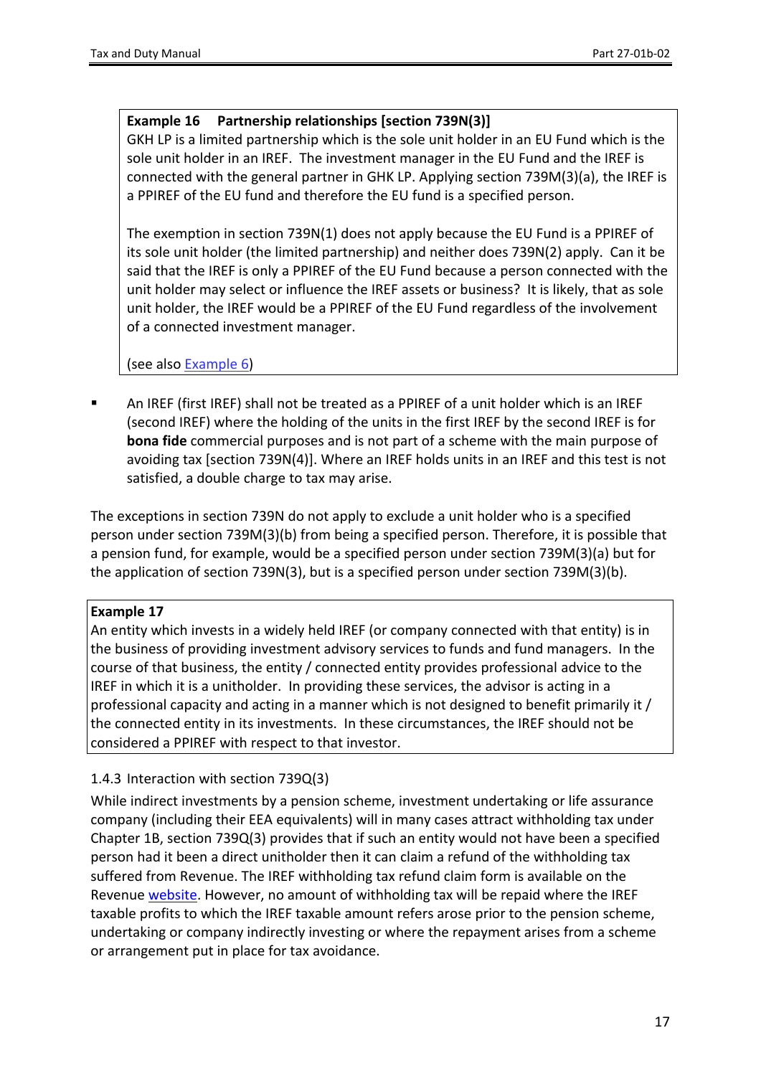#### <span id="page-16-1"></span>**Example 16 Partnership relationships [section 739N(3)]**

GKH LP is a limited partnership which is the sole unit holder in an EU Fund which is the sole unit holder in an IREF. The investment manager in the EU Fund and the IREF is connected with the general partner in GHK LP. Applying section 739M(3)(a), the IREF is a PPIREF of the EU fund and therefore the EU fund is a specified person.

The exemption in section 739N(1) does not apply because the EU Fund is a PPIREF of its sole unit holder (the limited partnership) and neither does 739N(2) apply. Can it be said that the IREF is only a PPIREF of the EU Fund because a person connected with the unit holder may select or influence the IREF assets or business? It is likely, that as sole unit holder, the IREF would be a PPIREF of the EU Fund regardless of the involvement of a connected investment manager.

(see also [Example](#page-8-1) [6\)](#page-8-1)

 An IREF (first IREF) shall not be treated as a PPIREF of a unit holder which is an IREF (second IREF) where the holding of the units in the first IREF by the second IREF is for **bona fide** commercial purposes and is not part of a scheme with the main purpose of avoiding tax [section 739N(4)]. Where an IREF holds units in an IREF and this test is not satisfied, a double charge to tax may arise.

The exceptions in section 739N do not apply to exclude a unit holder who is a specified person under section 739M(3)(b) from being a specified person. Therefore, it is possible that a pension fund, for example, would be a specified person under section 739M(3)(a) but for the application of section 739N(3), but is a specified person under section 739M(3)(b).

#### **Example 17**

An entity which invests in a widely held IREF (or company connected with that entity) is in the business of providing investment advisory services to funds and fund managers. In the course of that business, the entity / connected entity provides professional advice to the IREF in which it is a unitholder. In providing these services, the advisor is acting in a professional capacity and acting in a manner which is not designed to benefit primarily it / the connected entity in its investments. In these circumstances, the IREF should not be considered a PPIREF with respect to that investor.

#### <span id="page-16-0"></span>1.4.3 Interaction with section 739Q(3)

While indirect investments by a pension scheme, investment undertaking or life assurance company (including their EEA equivalents) will in many cases attract withholding tax under Chapter 1B, section 739Q(3) provides that if such an entity would not have been a specified person had it been a direct unitholder then it can claim a refund of the withholding tax suffered from Revenue. The IREF withholding tax refund claim form is available on the Revenue [website](https://www.revenue.ie/en/companies-and-charities/documents/dwt/iref-withholding-tax-claim-form.pdf). However, no amount of withholding tax will be repaid where the IREF taxable profits to which the IREF taxable amount refers arose prior to the pension scheme, undertaking or company indirectly investing or where the repayment arises from a scheme or arrangement put in place for tax avoidance.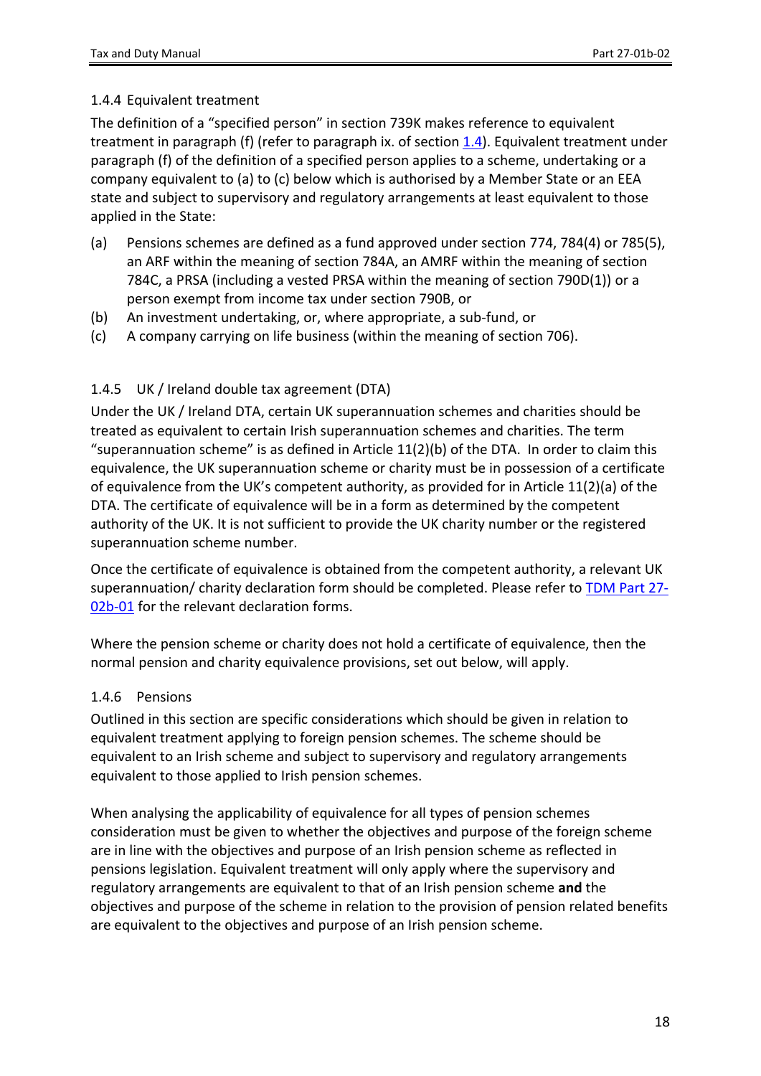#### <span id="page-17-0"></span>1.4.4 Equivalent treatment

The definition of a "specified person" in section 739K makes reference to equivalent treatment in paragraph (f) (refer to paragraph ix. of section  $1.4$ ). Equivalent treatment under paragraph (f) of the definition of a specified person applies to a scheme, undertaking or a company equivalent to (a) to (c) below which is authorised by a Member State or an EEA state and subject to supervisory and regulatory arrangements at least equivalent to those applied in the State:

- (a) Pensions schemes are defined as a fund approved under section 774, 784(4) or 785(5), an ARF within the meaning of section 784A, an AMRF within the meaning of section 784C, a PRSA (including a vested PRSA within the meaning of section 790D(1)) or a person exempt from income tax under section 790B, or
- (b) An investment undertaking, or, where appropriate, a sub-fund, or
- (c) A company carrying on life business (within the meaning of section 706).

#### <span id="page-17-1"></span>1.4.5 UK / Ireland double tax agreement (DTA)

Under the UK / Ireland DTA, certain UK superannuation schemes and charities should be treated as equivalent to certain Irish superannuation schemes and charities. The term "superannuation scheme" is as defined in Article  $11(2)(b)$  of the DTA. In order to claim this equivalence, the UK superannuation scheme or charity must be in possession of a certificate of equivalence from the UK's competent authority, as provided for in Article 11(2)(a) of the DTA. The certificate of equivalence will be in a form as determined by the competent authority of the UK. It is not sufficient to provide the UK charity number or the registered superannuation scheme number.

Once the certificate of equivalence is obtained from the competent authority, a relevant UK superannuation/ charity declaration form should be completed. Please refer to [TDM](https://www.revenue.ie/en/tax-professionals/tdm/income-tax-capital-gains-tax-corporation-tax/part-27/27-02B-01.pdf) [Part](https://www.revenue.ie/en/tax-professionals/tdm/income-tax-capital-gains-tax-corporation-tax/part-27/27-02B-01.pdf) [27-](https://www.revenue.ie/en/tax-professionals/tdm/income-tax-capital-gains-tax-corporation-tax/part-27/27-02B-01.pdf) [02b-01](https://www.revenue.ie/en/tax-professionals/tdm/income-tax-capital-gains-tax-corporation-tax/part-27/27-02B-01.pdf) for the relevant declaration forms.

Where the pension scheme or charity does not hold a certificate of equivalence, then the normal pension and charity equivalence provisions, set out below, will apply.

#### <span id="page-17-2"></span>1.4.6 Pensions

Outlined in this section are specific considerations which should be given in relation to equivalent treatment applying to foreign pension schemes. The scheme should be equivalent to an Irish scheme and subject to supervisory and regulatory arrangements equivalent to those applied to Irish pension schemes.

When analysing the applicability of equivalence for all types of pension schemes consideration must be given to whether the objectives and purpose of the foreign scheme are in line with the objectives and purpose of an Irish pension scheme as reflected in pensions legislation. Equivalent treatment will only apply where the supervisory and regulatory arrangements are equivalent to that of an Irish pension scheme **and** the objectives and purpose of the scheme in relation to the provision of pension related benefits are equivalent to the objectives and purpose of an Irish pension scheme.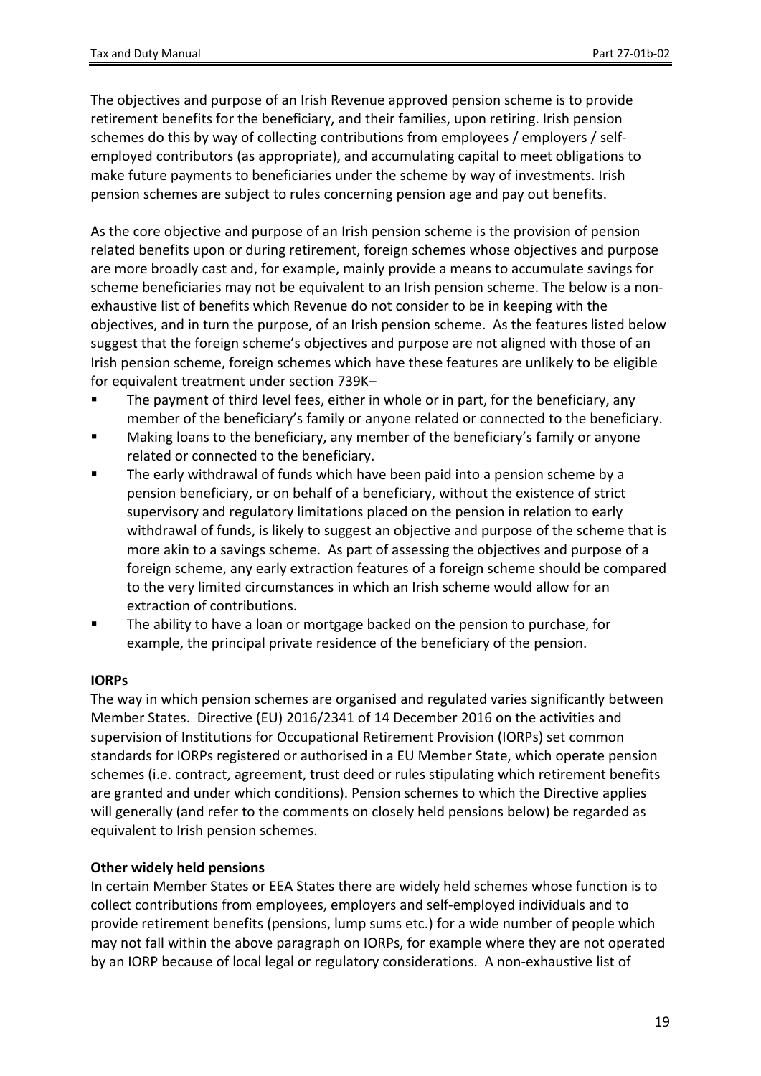The objectives and purpose of an Irish Revenue approved pension scheme is to provide retirement benefits for the beneficiary, and their families, upon retiring. Irish pension schemes do this by way of collecting contributions from employees / employers / selfemployed contributors (as appropriate), and accumulating capital to meet obligations to make future payments to beneficiaries under the scheme by way of investments. Irish pension schemes are subject to rules concerning pension age and pay out benefits.

As the core objective and purpose of an Irish pension scheme is the provision of pension related benefits upon or during retirement, foreign schemes whose objectives and purpose are more broadly cast and, for example, mainly provide a means to accumulate savings for scheme beneficiaries may not be equivalent to an Irish pension scheme. The below is a nonexhaustive list of benefits which Revenue do not consider to be in keeping with the objectives, and in turn the purpose, of an Irish pension scheme. As the features listed below suggest that the foreign scheme's objectives and purpose are not aligned with those of an Irish pension scheme, foreign schemes which have these features are unlikely to be eligible for equivalent treatment under section 739K–

- The payment of third level fees, either in whole or in part, for the beneficiary, any member of the beneficiary's family or anyone related or connected to the beneficiary.
- Making loans to the beneficiary, any member of the beneficiary's family or anyone related or connected to the beneficiary.
- The early withdrawal of funds which have been paid into a pension scheme by a pension beneficiary, or on behalf of a beneficiary, without the existence of strict supervisory and regulatory limitations placed on the pension in relation to early withdrawal of funds, is likely to suggest an objective and purpose of the scheme that is more akin to a savings scheme. As part of assessing the objectives and purpose of a foreign scheme, any early extraction features of a foreign scheme should be compared to the very limited circumstances in which an Irish scheme would allow for an extraction of contributions.
- The ability to have a loan or mortgage backed on the pension to purchase, for example, the principal private residence of the beneficiary of the pension.

#### **IORPs**

The way in which pension schemes are organised and regulated varies significantly between Member States. Directive (EU) 2016/2341 of 14 December 2016 on the activities and supervision of Institutions for Occupational Retirement Provision (IORPs) set common standards for IORPs registered or authorised in a EU Member State, which operate pension schemes (i.e. contract, agreement, trust deed or rules stipulating which retirement benefits are granted and under which conditions). Pension schemes to which the Directive applies will generally (and refer to the comments on closely held pensions below) be regarded as equivalent to Irish pension schemes.

#### **Other widely held pensions**

In certain Member States or EEA States there are widely held schemes whose function is to collect contributions from employees, employers and self-employed individuals and to provide retirement benefits (pensions, lump sums etc.) for a wide number of people which may not fall within the above paragraph on IORPs, for example where they are not operated by an IORP because of local legal or regulatory considerations. A non-exhaustive list of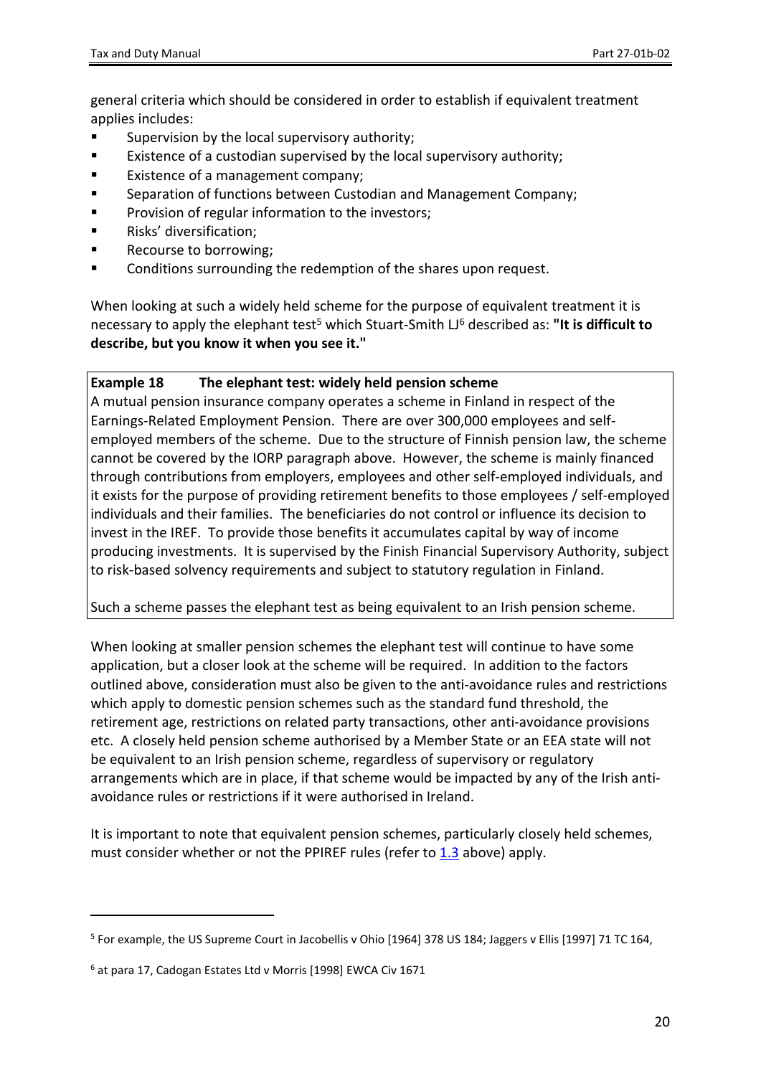general criteria which should be considered in order to establish if equivalent treatment applies includes:

- **EXEDEN** Supervision by the local supervisory authority;
- Existence of a custodian supervised by the local supervisory authority;
- **Existence of a management company;**
- Separation of functions between Custodian and Management Company;
- Provision of regular information to the investors;
- Risks' diversification;
- Recourse to borrowing;
- **EXECONDITE:** Conditions surrounding the redemption of the shares upon request.

When looking at such a widely held scheme for the purpose of equivalent treatment it is necessary to apply the elephant test<sup>5</sup> which Stuart-Smith LJ<sup>6</sup> described as: "It is difficult to **describe, but you know it when you see it."**

#### **Example 18 The elephant test: widely held pension scheme**

A mutual pension insurance company operates a scheme in Finland in respect of the Earnings-Related Employment Pension. There are over 300,000 employees and selfemployed members of the scheme. Due to the structure of Finnish pension law, the scheme cannot be covered by the IORP paragraph above. However, the scheme is mainly financed through contributions from employers, employees and other self-employed individuals, and it exists for the purpose of providing retirement benefits to those employees / self-employed individuals and their families. The beneficiaries do not control or influence its decision to invest in the IREF. To provide those benefits it accumulates capital by way of income producing investments. It is supervised by the Finish Financial Supervisory Authority, subject to risk-based solvency requirements and subject to statutory regulation in Finland.

Such a scheme passes the elephant test as being equivalent to an Irish pension scheme.

When looking at smaller pension schemes the elephant test will continue to have some application, but a closer look at the scheme will be required. In addition to the factors outlined above, consideration must also be given to the anti-avoidance rules and restrictions which apply to domestic pension schemes such as the standard fund threshold, the retirement age, restrictions on related party transactions, other anti-avoidance provisions etc. A closely held pension scheme authorised by a Member State or an EEA state will not be equivalent to an Irish pension scheme, regardless of supervisory or regulatory arrangements which are in place, if that scheme would be impacted by any of the Irish antiavoidance rules or restrictions if it were authorised in Ireland.

It is important to note that equivalent pension schemes, particularly closely held schemes, must consider whether or not the PPIREF rules (refer to [1.3](#page-5-3) above) apply.

<sup>5</sup> For example, the US Supreme Court in Jacobellis v Ohio [1964] 378 US 184; Jaggers v Ellis [1997] 71 TC 164,

<sup>6</sup> at para 17, Cadogan Estates Ltd v Morris [1998] EWCA Civ 1671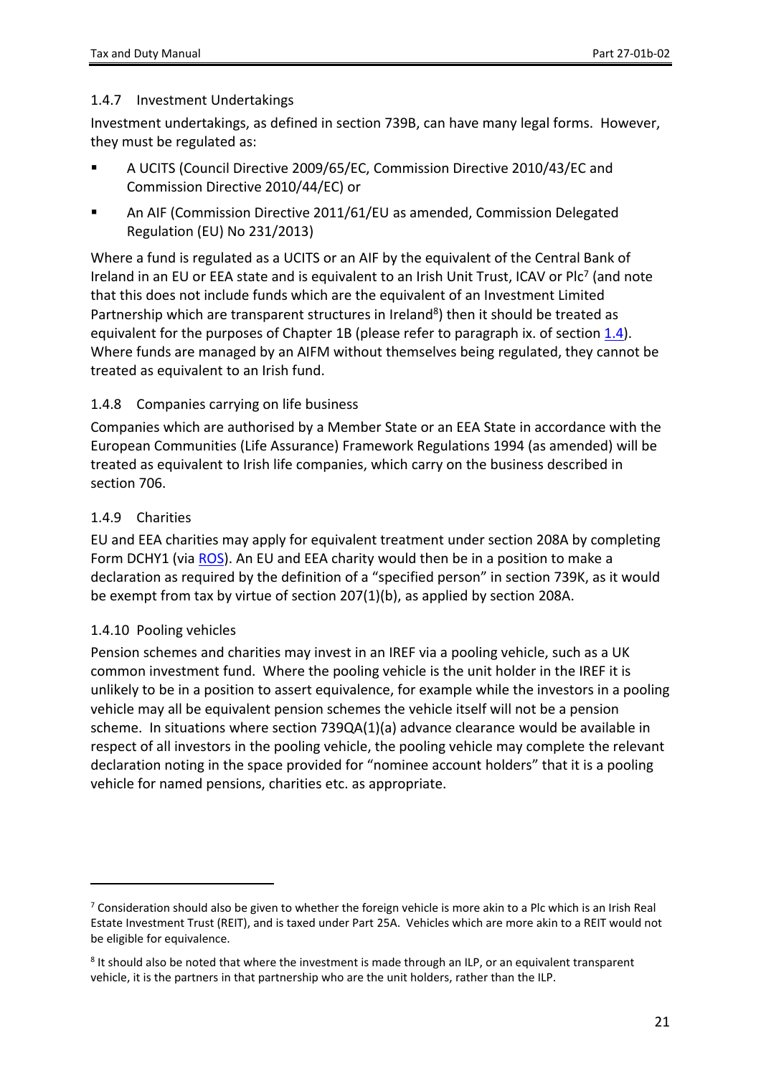#### <span id="page-20-0"></span>1.4.7 Investment Undertakings

Investment undertakings, as defined in section 739B, can have many legal forms. However, they must be regulated as:

- A UCITS (Council Directive 2009/65/EC, Commission Directive 2010/43/EC and Commission Directive 2010/44/EC) or
- An AIF (Commission Directive 2011/61/EU as amended, Commission Delegated Regulation (EU) No 231/2013)

Where a fund is regulated as a UCITS or an AIF by the equivalent of the Central Bank of Ireland in an EU or EEA state and is equivalent to an Irish Unit Trust, ICAV or Plc<sup>7</sup> (and note that this does not include funds which are the equivalent of an Investment Limited Partnership which are transparent structures in Ireland<sup>8</sup>) then it should be treated as equivalent for the purposes of Chapter 1B (please refer to paragraph ix. of section [1.4](#page-10-0)). Where funds are managed by an AIFM without themselves being regulated, they cannot be treated as equivalent to an Irish fund.

#### <span id="page-20-1"></span>1.4.8 Companies carrying on life business

Companies which are authorised by a Member State or an EEA State in accordance with the European Communities (Life Assurance) Framework Regulations 1994 (as amended) will be treated as equivalent to Irish life companies, which carry on the business described in section 706.

#### <span id="page-20-2"></span>1.4.9 Charities

EU and EEA charities may apply for equivalent treatment under section 208A by completing Form DCHY1 (via [ROS](http://www.ros.ie)). An EU and EEA charity would then be in a position to make a declaration as required by the definition of a "specified person" in section 739K, as it would be exempt from tax by virtue of section 207(1)(b), as applied by section 208A.

#### <span id="page-20-3"></span>1.4.10 Pooling vehicles

Pension schemes and charities may invest in an IREF via a pooling vehicle, such as a UK common investment fund. Where the pooling vehicle is the unit holder in the IREF it is unlikely to be in a position to assert equivalence, for example while the investors in a pooling vehicle may all be equivalent pension schemes the vehicle itself will not be a pension scheme. In situations where section 739QA(1)(a) advance clearance would be available in respect of all investors in the pooling vehicle, the pooling vehicle may complete the relevant declaration noting in the space provided for "nominee account holders" that it is a pooling vehicle for named pensions, charities etc. as appropriate.

 $7$  Consideration should also be given to whether the foreign vehicle is more akin to a Plc which is an Irish Real Estate Investment Trust (REIT), and is taxed under Part 25A. Vehicles which are more akin to a REIT would not be eligible for equivalence.

<sup>8</sup> It should also be noted that where the investment is made through an ILP, or an equivalent transparent vehicle, it is the partners in that partnership who are the unit holders, rather than the ILP.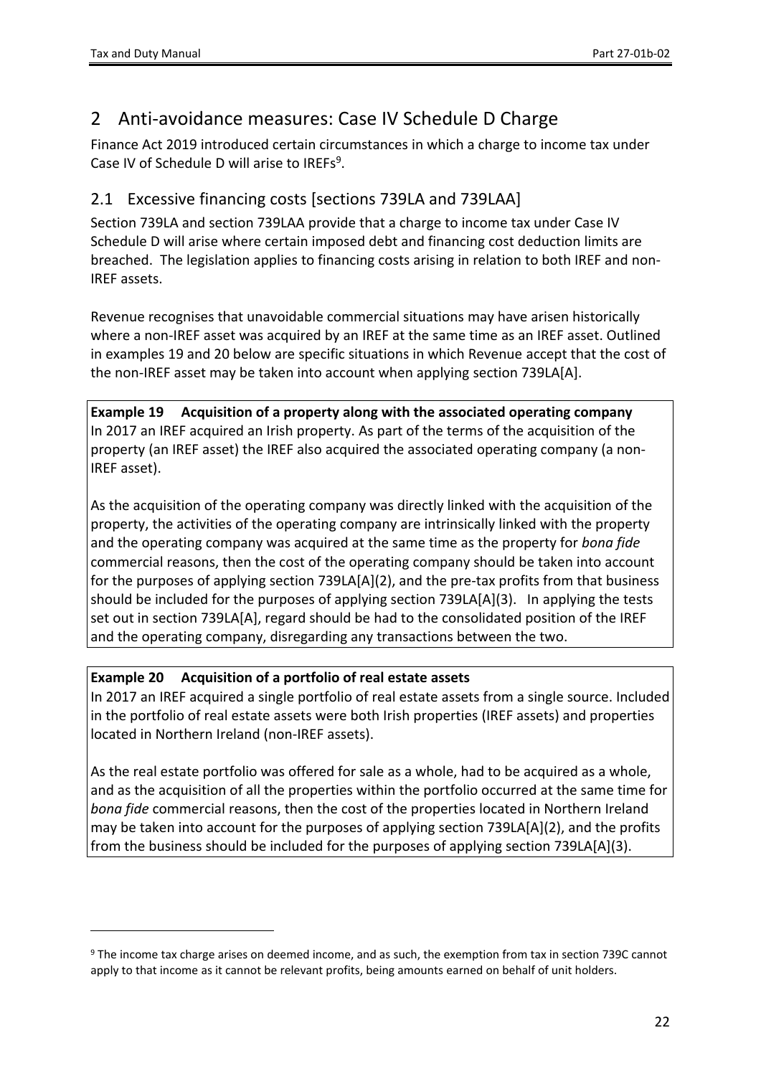# <span id="page-21-0"></span>2 Anti-avoidance measures: Case IV Schedule D Charge

Finance Act 2019 introduced certain circumstances in which a charge to income tax under Case IV of Schedule D will arise to IREFs<sup>9</sup>.

## <span id="page-21-1"></span>2.1 Excessive financing costs [sections 739LA and 739LAA]

Section 739LA and section 739LAA provide that a charge to income tax under Case IV Schedule D will arise where certain imposed debt and financing cost deduction limits are breached. The legislation applies to financing costs arising in relation to both IREF and non-IREF assets.

Revenue recognises that unavoidable commercial situations may have arisen historically where a non-IREF asset was acquired by an IREF at the same time as an IREF asset. Outlined in examples 19 and 20 below are specific situations in which Revenue accept that the cost of the non-IREF asset may be taken into account when applying section 739LA[A].

**Example 19 Acquisition of a property along with the associated operating company** In 2017 an IREF acquired an Irish property. As part of the terms of the acquisition of the property (an IREF asset) the IREF also acquired the associated operating company (a non-IREF asset).

As the acquisition of the operating company was directly linked with the acquisition of the property, the activities of the operating company are intrinsically linked with the property and the operating company was acquired at the same time as the property for *bona fide* commercial reasons, then the cost of the operating company should be taken into account for the purposes of applying section 739LA[A](2), and the pre-tax profits from that business should be included for the purposes of applying section 739LA[A](3). In applying the tests set out in section 739LA[A], regard should be had to the consolidated position of the IREF and the operating company, disregarding any transactions between the two.

### **Example 20 Acquisition of a portfolio of real estate assets**

In 2017 an IREF acquired a single portfolio of real estate assets from a single source. Included in the portfolio of real estate assets were both Irish properties (IREF assets) and properties located in Northern Ireland (non-IREF assets).

As the real estate portfolio was offered for sale as a whole, had to be acquired as a whole, and as the acquisition of all the properties within the portfolio occurred at the same time for *bona fide* commercial reasons, then the cost of the properties located in Northern Ireland may be taken into account for the purposes of applying section 739LA[A](2), and the profits from the business should be included for the purposes of applying section 739LA[A](3).

<sup>9</sup> The income tax charge arises on deemed income, and as such, the exemption from tax in section 739C cannot apply to that income as it cannot be relevant profits, being amounts earned on behalf of unit holders.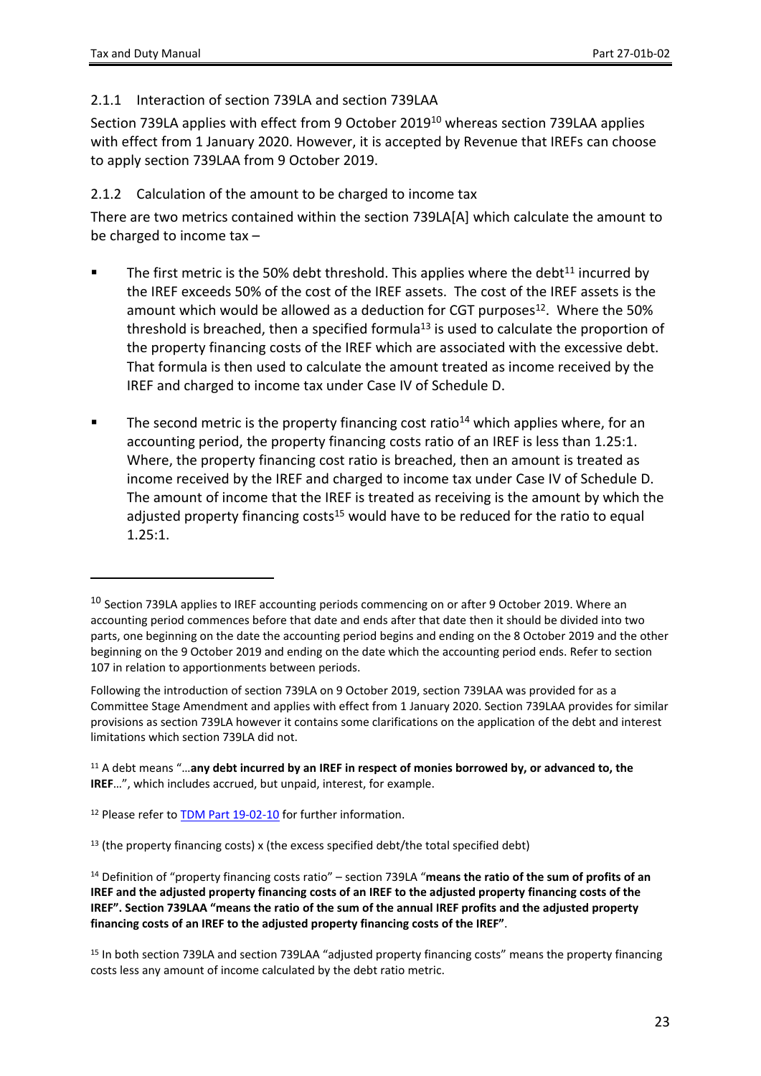#### <span id="page-22-0"></span>2.1.1 Interaction of section 739LA and section 739LAA

Section 739LA applies with effect from 9 October 2019<sup>10</sup> whereas section 739LAA applies with effect from 1 January 2020. However, it is accepted by Revenue that IREFs can choose to apply section 739LAA from 9 October 2019.

#### <span id="page-22-1"></span>2.1.2 Calculation of the amount to be charged to income tax

There are two metrics contained within the section 739LA[A] which calculate the amount to be charged to income tax –

- The first metric is the 50% debt threshold. This applies where the debt<sup>11</sup> incurred by the IREF exceeds 50% of the cost of the IREF assets. The cost of the IREF assets is the amount which would be allowed as a deduction for CGT purposes<sup>12</sup>. Where the 50% threshold is breached, then a specified formula<sup>13</sup> is used to calculate the proportion of the property financing costs of the IREF which are associated with the excessive debt. That formula is then used to calculate the amount treated as income received by the IREF and charged to income tax under Case IV of Schedule D.
- The second metric is the property financing cost ratio<sup>14</sup> which applies where, for an accounting period, the property financing costs ratio of an IREF is less than 1.25:1. Where, the property financing cost ratio is breached, then an amount is treated as income received by the IREF and charged to income tax under Case IV of Schedule D. The amount of income that the IREF is treated as receiving is the amount by which the adjusted property financing costs<sup>15</sup> would have to be reduced for the ratio to equal 1.25:1.

<sup>&</sup>lt;sup>10</sup> Section 739LA applies to IREF accounting periods commencing on or after 9 October 2019. Where an accounting period commences before that date and ends after that date then it should be divided into two parts, one beginning on the date the accounting period begins and ending on the 8 October 2019 and the other beginning on the 9 October 2019 and ending on the date which the accounting period ends. Refer to section 107 in relation to apportionments between periods.

Following the introduction of section 739LA on 9 October 2019, section 739LAA was provided for as a Committee Stage Amendment and applies with effect from 1 January 2020. Section 739LAA provides for similar provisions as section 739LA however it contains some clarifications on the application of the debt and interest limitations which section 739LA did not.

<sup>11</sup> A debt means "…**any debt incurred by an IREF in respect of monies borrowed by, or advanced to, the IREF**…", which includes accrued, but unpaid, interest, for example.

<sup>&</sup>lt;sup>12</sup> Please refer to **[TDM](https://www.revenue.ie/en/tax-professionals/tdm/income-tax-capital-gains-tax-corporation-tax/part-19/19-02-10.pdf) [Part](https://www.revenue.ie/en/tax-professionals/tdm/income-tax-capital-gains-tax-corporation-tax/part-19/19-02-10.pdf) [19-02-10](https://www.revenue.ie/en/tax-professionals/tdm/income-tax-capital-gains-tax-corporation-tax/part-19/19-02-10.pdf)** for further information.

 $13$  (the property financing costs) x (the excess specified debt/the total specified debt)

<sup>14</sup> Definition of "property financing costs ratio" – section 739LA "**means the ratio of the sum of profits of an** IREF and the adjusted property financing costs of an IREF to the adjusted property financing costs of the IREF". Section 739LAA "means the ratio of the sum of the annual IREF profits and the adjusted property **financing costs of an IREF to the adjusted property financing costs of the IREF"**.

<sup>15</sup> In both section 739LA and section 739LAA "adjusted property financing costs" means the property financing costs less any amount of income calculated by the debt ratio metric.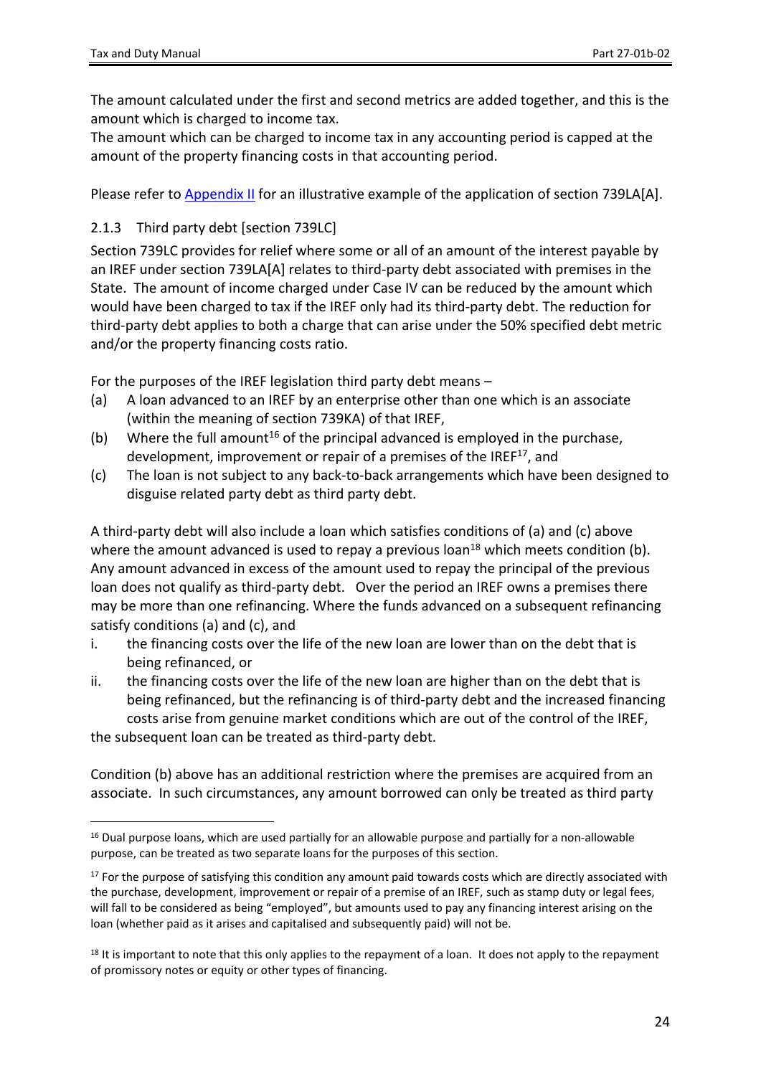The amount calculated under the first and second metrics are added together, and this is the amount which is charged to income tax.

The amount which can be charged to income tax in any accounting period is capped at the amount of the property financing costs in that accounting period.

<span id="page-23-0"></span>Please refer to [Appendix](#page-32-1) [II](#page-32-1) for an illustrative example of the application of section 739LA[A].

#### 2.1.3 Third party debt [section 739LC]

Section 739LC provides for relief where some or all of an amount of the interest payable by an IREF under section 739LA[A] relates to third-party debt associated with premises in the State. The amount of income charged under Case IV can be reduced by the amount which would have been charged to tax if the IREF only had its third-party debt. The reduction for third-party debt applies to both a charge that can arise under the 50% specified debt metric and/or the property financing costs ratio.

For the purposes of the IREF legislation third party debt means –

- (a) A loan advanced to an IREF by an enterprise other than one which is an associate (within the meaning of section 739KA) of that IREF,
- (b) Where the full amount<sup>16</sup> of the principal advanced is employed in the purchase, development, improvement or repair of a premises of the IREF<sup>17</sup>, and
- (c) The loan is not subject to any back-to-back arrangements which have been designed to disguise related party debt as third party debt.

A third-party debt will also include a loan which satisfies conditions of (a) and (c) above where the amount advanced is used to repay a previous loan<sup>18</sup> which meets condition (b). Any amount advanced in excess of the amount used to repay the principal of the previous loan does not qualify as third-party debt. Over the period an IREF owns a premises there may be more than one refinancing. Where the funds advanced on a subsequent refinancing satisfy conditions (a) and (c), and

- i. the financing costs over the life of the new loan are lower than on the debt that is being refinanced, or
- ii. the financing costs over the life of the new loan are higher than on the debt that is being refinanced, but the refinancing is of third-party debt and the increased financing costs arise from genuine market conditions which are out of the control of the IREF,

the subsequent loan can be treated as third-party debt.

Condition (b) above has an additional restriction where the premises are acquired from an associate. In such circumstances, any amount borrowed can only be treated as third party

<sup>&</sup>lt;sup>16</sup> Dual purpose loans, which are used partially for an allowable purpose and partially for a non-allowable purpose, can be treated as two separate loans for the purposes of this section.

<sup>&</sup>lt;sup>17</sup> For the purpose of satisfying this condition any amount paid towards costs which are directly associated with the purchase, development, improvement or repair of a premise of an IREF, such as stamp duty or legal fees, will fall to be considered as being "employed", but amounts used to pay any financing interest arising on the loan (whether paid as it arises and capitalised and subsequently paid) will not be.

 $18$  It is important to note that this only applies to the repayment of a loan. It does not apply to the repayment of promissory notes or equity or other types of financing.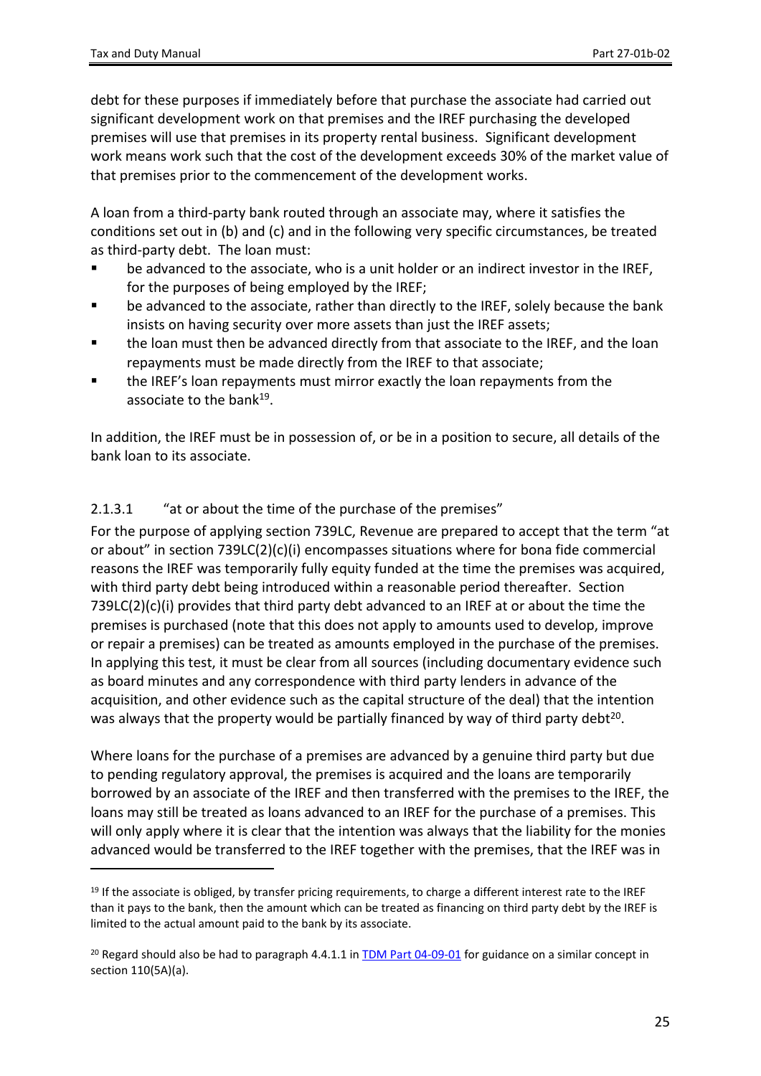debt for these purposes if immediately before that purchase the associate had carried out significant development work on that premises and the IREF purchasing the developed premises will use that premises in its property rental business. Significant development work means work such that the cost of the development exceeds 30% of the market value of that premises prior to the commencement of the development works.

A loan from a third-party bank routed through an associate may, where it satisfies the conditions set out in (b) and (c) and in the following very specific circumstances, be treated as third-party debt. The loan must:

- be advanced to the associate, who is a unit holder or an indirect investor in the IREF, for the purposes of being employed by the IREF;
- be advanced to the associate, rather than directly to the IREF, solely because the bank insists on having security over more assets than just the IREF assets;
- **the loan must then be advanced directly from that associate to the IREF, and the loan** repayments must be made directly from the IREF to that associate;
- the IREF's loan repayments must mirror exactly the loan repayments from the associate to the bank<sup>19</sup>.

In addition, the IREF must be in possession of, or be in a position to secure, all details of the bank loan to its associate.

### 2.1.3.1 "at or about the time of the purchase of the premises"

For the purpose of applying section 739LC, Revenue are prepared to accept that the term "at or about" in section 739LC(2)(c)(i) encompasses situations where for bona fide commercial reasons the IREF was temporarily fully equity funded at the time the premises was acquired, with third party debt being introduced within a reasonable period thereafter. Section  $739LC(2)(c)(i)$  provides that third party debt advanced to an IREF at or about the time the premises is purchased (note that this does not apply to amounts used to develop, improve or repair a premises) can be treated as amounts employed in the purchase of the premises. In applying this test, it must be clear from all sources (including documentary evidence such as board minutes and any correspondence with third party lenders in advance of the acquisition, and other evidence such as the capital structure of the deal) that the intention was always that the property would be partially financed by way of third party debt<sup>20</sup>.

Where loans for the purchase of a premises are advanced by a genuine third party but due to pending regulatory approval, the premises is acquired and the loans are temporarily borrowed by an associate of the IREF and then transferred with the premises to the IREF, the loans may still be treated as loans advanced to an IREF for the purchase of a premises. This will only apply where it is clear that the intention was always that the liability for the monies advanced would be transferred to the IREF together with the premises, that the IREF was in

<sup>&</sup>lt;sup>19</sup> If the associate is obliged, by transfer pricing requirements, to charge a different interest rate to the IREF than it pays to the bank, then the amount which can be treated as financing on third party debt by the IREF is limited to the actual amount paid to the bank by its associate.

<sup>&</sup>lt;sup>20</sup> Regard should also be had to paragraph 4.4.1.1 in  $\overline{IDM}$  [Part](https://www.revenue.ie/en/tax-professionals/tdm/income-tax-capital-gains-tax-corporation-tax/part-04/04-09-01.pdf) [04-09-01](https://www.revenue.ie/en/tax-professionals/tdm/income-tax-capital-gains-tax-corporation-tax/part-04/04-09-01.pdf) for guidance on a similar concept in section 110(5A)(a).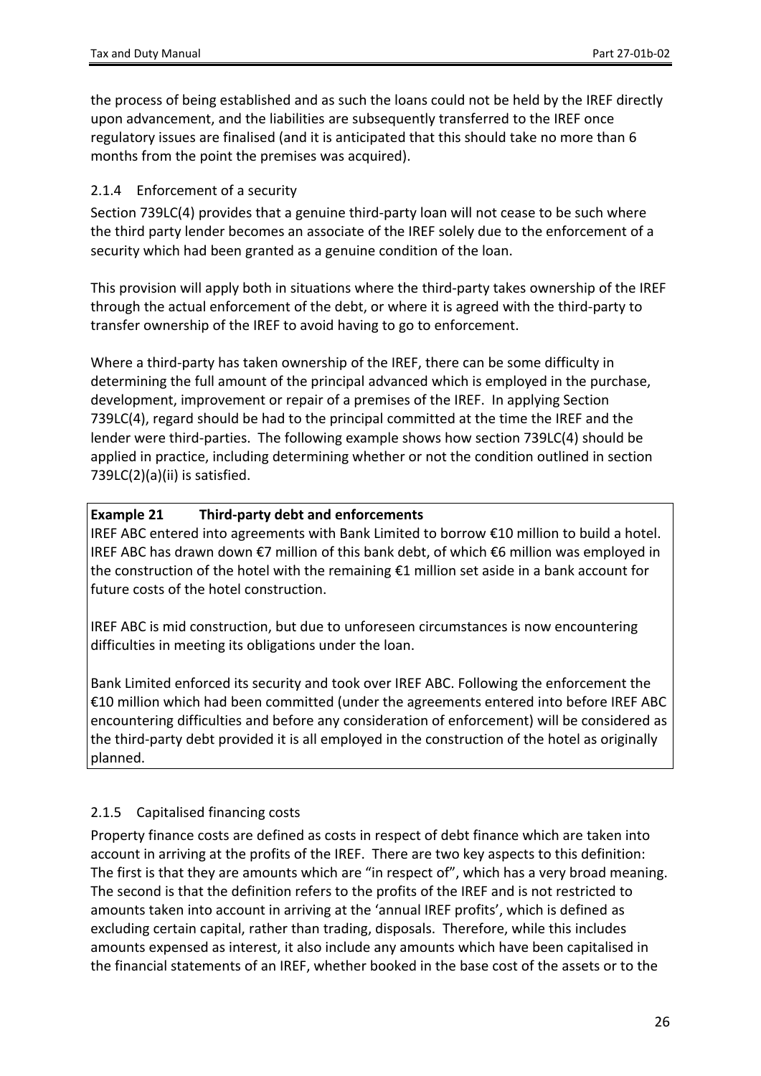the process of being established and as such the loans could not be held by the IREF directly upon advancement, and the liabilities are subsequently transferred to the IREF once regulatory issues are finalised (and it is anticipated that this should take no more than 6 months from the point the premises was acquired).

#### <span id="page-25-0"></span>2.1.4 Enforcement of a security

Section 739LC(4) provides that a genuine third-party loan will not cease to be such where the third party lender becomes an associate of the IREF solely due to the enforcement of a security which had been granted as a genuine condition of the loan.

This provision will apply both in situations where the third-party takes ownership of the IREF through the actual enforcement of the debt, or where it is agreed with the third-party to transfer ownership of the IREF to avoid having to go to enforcement.

Where a third-party has taken ownership of the IREF, there can be some difficulty in determining the full amount of the principal advanced which is employed in the purchase, development, improvement or repair of a premises of the IREF. In applying Section 739LC(4), regard should be had to the principal committed at the time the IREF and the lender were third-parties. The following example shows how section 739LC(4) should be applied in practice, including determining whether or not the condition outlined in section 739LC(2)(a)(ii) is satisfied.

#### **Example 21 Third-party debt and enforcements**

IREF ABC entered into agreements with Bank Limited to borrow €10 million to build a hotel. IREF ABC has drawn down €7 million of this bank debt, of which €6 million was employed in the construction of the hotel with the remaining €1 million set aside in a bank account for future costs of the hotel construction.

IREF ABC is mid construction, but due to unforeseen circumstances is now encountering difficulties in meeting its obligations under the loan.

Bank Limited enforced its security and took over IREF ABC. Following the enforcement the €10 million which had been committed (under the agreements entered into before IREF ABC encountering difficulties and before any consideration of enforcement) will be considered as the third-party debt provided it is all employed in the construction of the hotel as originally planned.

### <span id="page-25-1"></span>2.1.5 Capitalised financing costs

Property finance costs are defined as costs in respect of debt finance which are taken into account in arriving at the profits of the IREF. There are two key aspects to this definition: The first is that they are amounts which are "in respect of", which has a very broad meaning. The second is that the definition refers to the profits of the IREF and is not restricted to amounts taken into account in arriving at the 'annual IREF profits', which is defined as excluding certain capital, rather than trading, disposals. Therefore, while this includes amounts expensed as interest, it also include any amounts which have been capitalised in the financial statements of an IREF, whether booked in the base cost of the assets or to the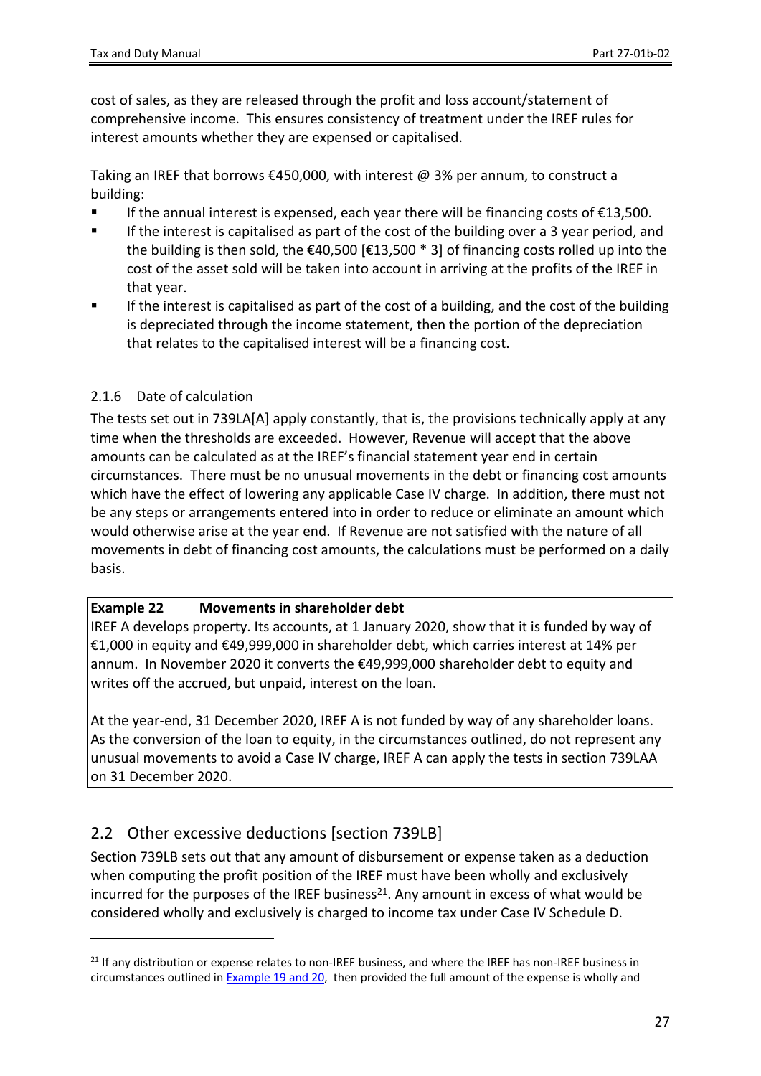cost of sales, as they are released through the profit and loss account/statement of comprehensive income. This ensures consistency of treatment under the IREF rules for interest amounts whether they are expensed or capitalised.

Taking an IREF that borrows €450,000, with interest @ 3% per annum, to construct a building:

- If the annual interest is expensed, each year there will be financing costs of €13,500.
- If the interest is capitalised as part of the cost of the building over a 3 year period, and the building is then sold, the  $\epsilon$ 40,500  $\epsilon$ 13,500  $*$  3] of financing costs rolled up into the cost of the asset sold will be taken into account in arriving at the profits of the IREF in that year.
- If the interest is capitalised as part of the cost of a building, and the cost of the building is depreciated through the income statement, then the portion of the depreciation that relates to the capitalised interest will be a financing cost.

#### <span id="page-26-0"></span>2.1.6 Date of calculation

The tests set out in 739LA[A] apply constantly, that is, the provisions technically apply at any time when the thresholds are exceeded. However, Revenue will accept that the above amounts can be calculated as at the IREF's financial statement year end in certain circumstances. There must be no unusual movements in the debt or financing cost amounts which have the effect of lowering any applicable Case IV charge. In addition, there must not be any steps or arrangements entered into in order to reduce or eliminate an amount which would otherwise arise at the year end. If Revenue are not satisfied with the nature of all movements in debt of financing cost amounts, the calculations must be performed on a daily basis.

#### **Example 22 Movements in shareholder debt**

IREF A develops property. Its accounts, at 1 January 2020, show that it is funded by way of €1,000 in equity and €49,999,000 in shareholder debt, which carries interest at 14% per annum. In November 2020 it converts the €49,999,000 shareholder debt to equity and writes off the accrued, but unpaid, interest on the loan.

At the year-end, 31 December 2020, IREF A is not funded by way of any shareholder loans. As the conversion of the loan to equity, in the circumstances outlined, do not represent any unusual movements to avoid a Case IV charge, IREF A can apply the tests in section 739LAA on 31 December 2020.

## <span id="page-26-1"></span>2.2 Other excessive deductions [section 739LB]

Section 739LB sets out that any amount of disbursement or expense taken as a deduction when computing the profit position of the IREF must have been wholly and exclusively incurred for the purposes of the IREF business<sup>21</sup>. Any amount in excess of what would be considered wholly and exclusively is charged to income tax under Case IV Schedule D.

<sup>&</sup>lt;sup>21</sup> If any distribution or expense relates to non-IREF business, and where the IREF has non-IREF business in circumstances outlined in [Example](#page-21-1) [19](#page-21-1) [and](#page-21-1) [20,](#page-21-1) then provided the full amount of the expense is wholly and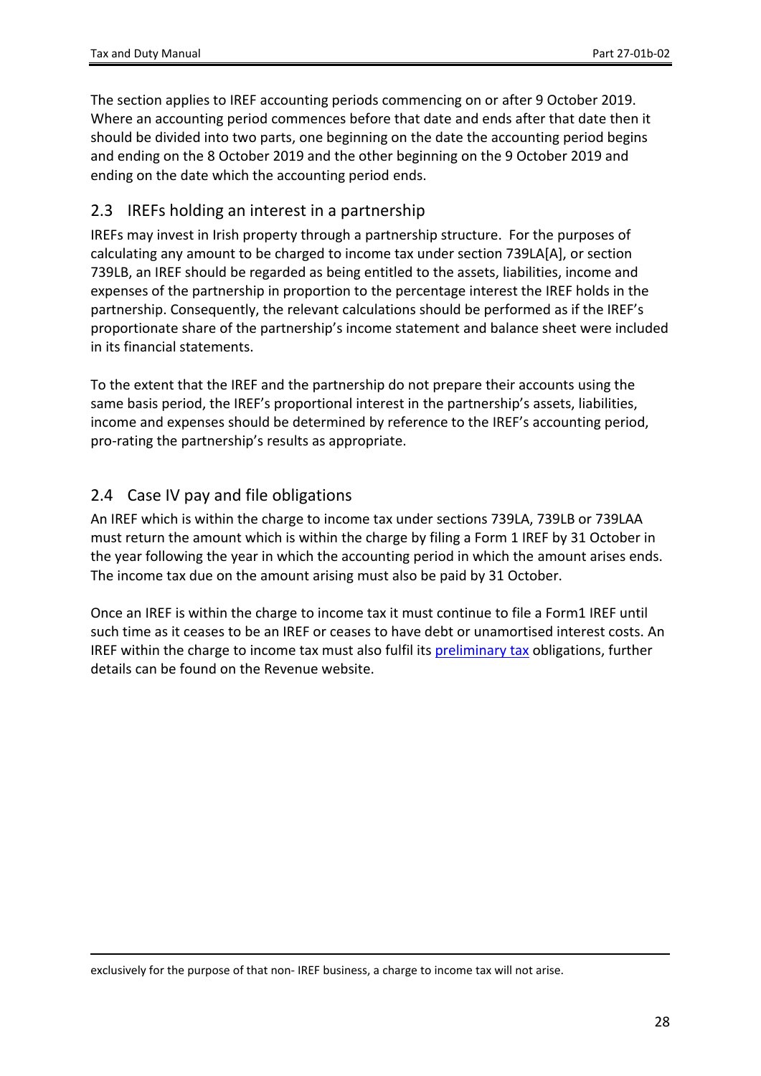The section applies to IREF accounting periods commencing on or after 9 October 2019. Where an accounting period commences before that date and ends after that date then it should be divided into two parts, one beginning on the date the accounting period begins and ending on the 8 October 2019 and the other beginning on the 9 October 2019 and ending on the date which the accounting period ends.

### <span id="page-27-0"></span>2.3 IREFs holding an interest in a partnership

IREFs may invest in Irish property through a partnership structure. For the purposes of calculating any amount to be charged to income tax under section 739LA[A], or section 739LB, an IREF should be regarded as being entitled to the assets, liabilities, income and expenses of the partnership in proportion to the percentage interest the IREF holds in the partnership. Consequently, the relevant calculations should be performed as if the IREF's proportionate share of the partnership's income statement and balance sheet were included in its financial statements.

To the extent that the IREF and the partnership do not prepare their accounts using the same basis period, the IREF's proportional interest in the partnership's assets, liabilities, income and expenses should be determined by reference to the IREF's accounting period, pro-rating the partnership's results as appropriate.

## <span id="page-27-1"></span>2.4 Case IV pay and file obligations

An IREF which is within the charge to income tax under sections 739LA, 739LB or 739LAA must return the amount which is within the charge by filing a Form 1 IREF by 31 October in the year following the year in which the accounting period in which the amount arises ends. The income tax due on the amount arising must also be paid by 31 October.

Once an IREF is within the charge to income tax it must continue to file a Form1 IREF until such time as it ceases to be an IREF or ceases to have debt or unamortised interest costs. An IREF within the charge to income tax must also fulfil its [preliminary](https://www.revenue.ie/en/self-assessment-and-self-employment/guide-to-self-assessment/preliminary-tax.aspx) [tax](https://www.revenue.ie/en/self-assessment-and-self-employment/guide-to-self-assessment/preliminary-tax.aspx) obligations, further details can be found on the Revenue website.

exclusively for the purpose of that non- IREF business, a charge to income tax will not arise.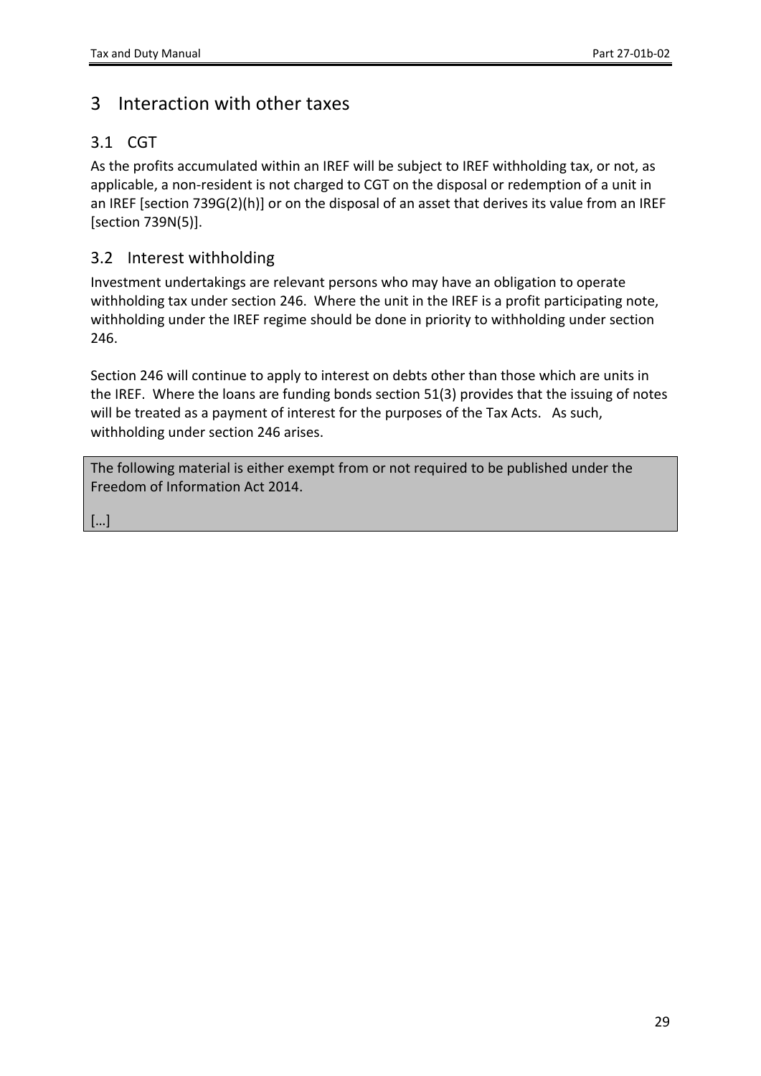# <span id="page-28-0"></span>3 Interaction with other taxes

## <span id="page-28-1"></span>3.1 CGT

As the profits accumulated within an IREF will be subject to IREF withholding tax, or not, as applicable, a non-resident is not charged to CGT on the disposal or redemption of a unit in an IREF [section 739G(2)(h)] or on the disposal of an asset that derives its value from an IREF [section 739N(5)].

### <span id="page-28-2"></span>3.2 Interest withholding

Investment undertakings are relevant persons who may have an obligation to operate withholding tax under section 246. Where the unit in the IREF is a profit participating note, withholding under the IREF regime should be done in priority to withholding under section 246.

Section 246 will continue to apply to interest on debts other than those which are units in the IREF. Where the loans are funding bonds section 51(3) provides that the issuing of notes will be treated as a payment of interest for the purposes of the Tax Acts. As such, withholding under section 246 arises.

The following material is either exempt from or not required to be published under the Freedom of Information Act 2014.

[…]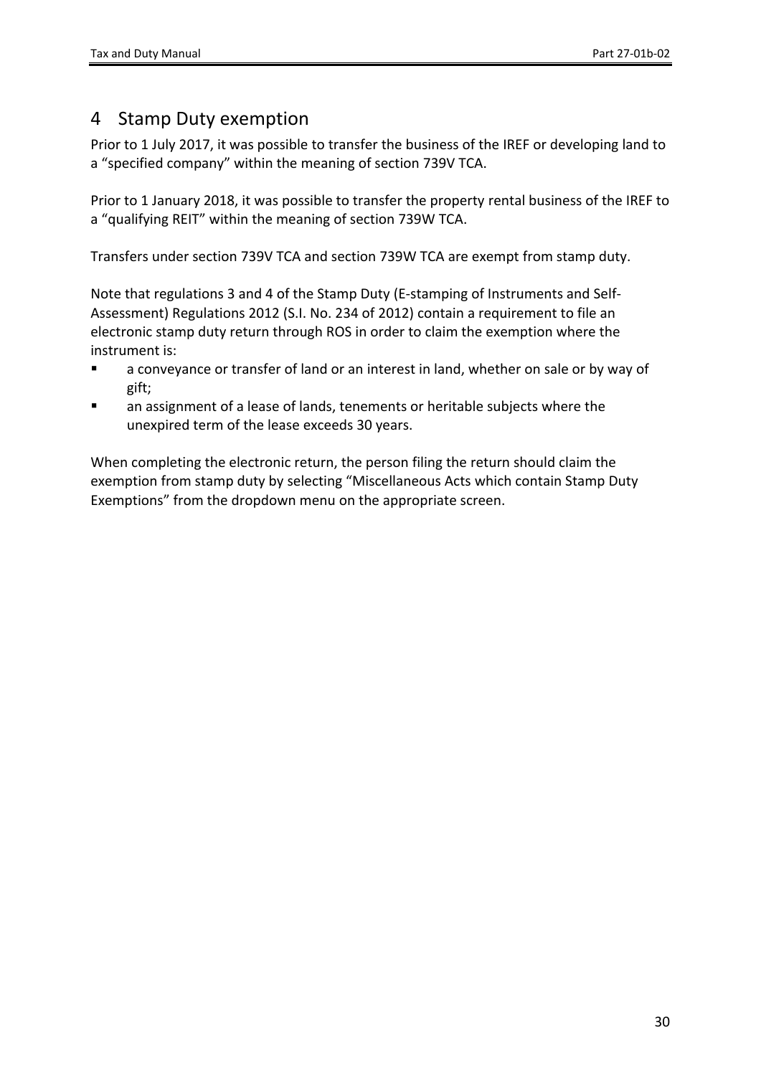# <span id="page-29-0"></span>4 Stamp Duty exemption

Prior to 1 July 2017, it was possible to transfer the business of the IREF or developing land to a "specified company" within the meaning of section 739V TCA.

Prior to 1 January 2018, it was possible to transfer the property rental business of the IREF to a "qualifying REIT" within the meaning of section 739W TCA.

Transfers under section 739V TCA and section 739W TCA are exempt from stamp duty.

Note that regulations 3 and 4 of the Stamp Duty (E-stamping of Instruments and Self-Assessment) Regulations 2012 (S.I. No. 234 of 2012) contain a requirement to file an electronic stamp duty return through ROS in order to claim the exemption where the instrument is:

- a conveyance or transfer of land or an interest in land, whether on sale or by way of gift;
- an assignment of a lease of lands, tenements or heritable subjects where the unexpired term of the lease exceeds 30 years.

When completing the electronic return, the person filing the return should claim the exemption from stamp duty by selecting "Miscellaneous Acts which contain Stamp Duty Exemptions" from the dropdown menu on the appropriate screen.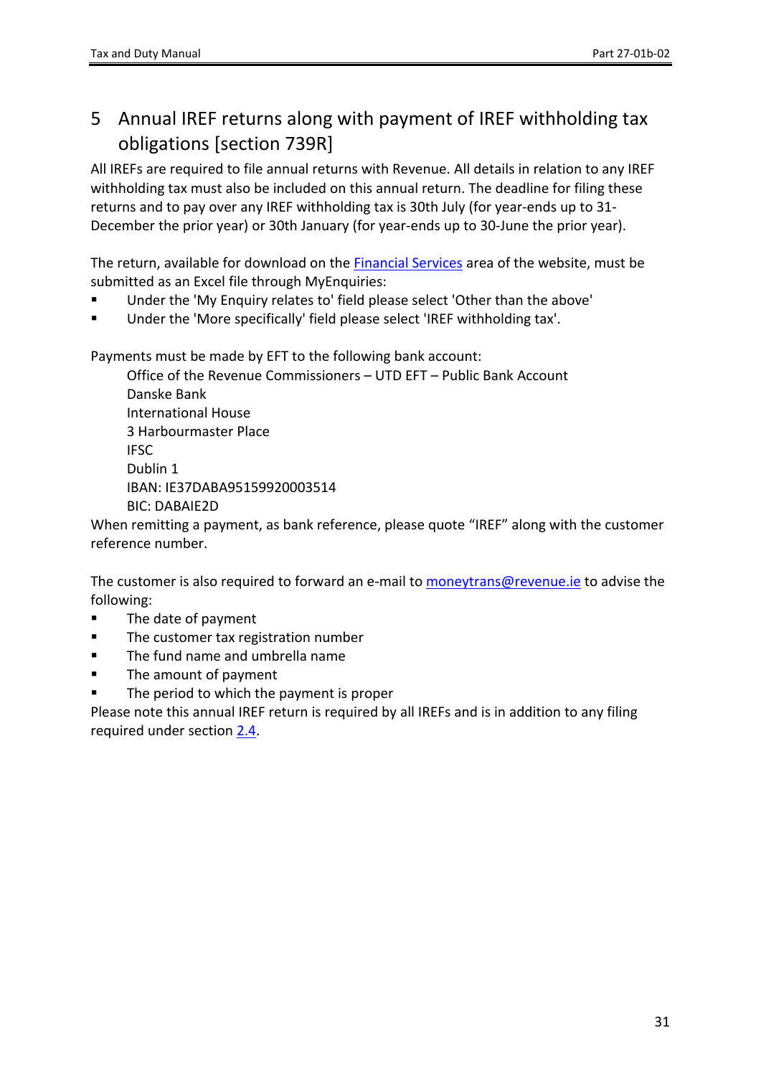# <span id="page-30-0"></span>5 Annual IREF returns along with payment of IREF withholding tax obligations [section 739R]

All IREFs are required to file annual returns with Revenue. All details in relation to any IREF withholding tax must also be included on this annual return. The deadline for filing these returns and to pay over any IREF withholding tax is 30th July (for year-ends up to 31- December the prior year) or 30th January (for year-ends up to 30-June the prior year).

The return, available for download on the [Financial](https://www.revenue.ie/en/companies-and-charities/financial-services/index.aspx) [Services](https://www.revenue.ie/en/companies-and-charities/financial-services/index.aspx) area of the website, must be submitted as an Excel file through MyEnquiries:

- Under the 'My Enquiry relates to' field please select 'Other than the above'
- Under the 'More specifically' field please select 'IREF withholding tax'.

Payments must be made by EFT to the following bank account:

Office of the Revenue Commissioners – UTD EFT – Public Bank Account Danske Bank International House 3 Harbourmaster Place IFSC Dublin 1 IBAN: IE37DABA95159920003514 BIC: DABAIE2D

When remitting a payment, as bank reference, please quote "IREF" along with the customer reference number.

The customer is also required to forward an e-mail to [moneytrans@revenue.ie](mailto:moneytrans@revenue.ie) to advise the following:

- **The date of payment**
- **The customer tax registration number**
- **The fund name and umbrella name**
- The amount of payment
- The period to which the payment is proper

Please note this annual IREF return is required by all IREFs and is in addition to any filing required under section [2.4](#page-27-1).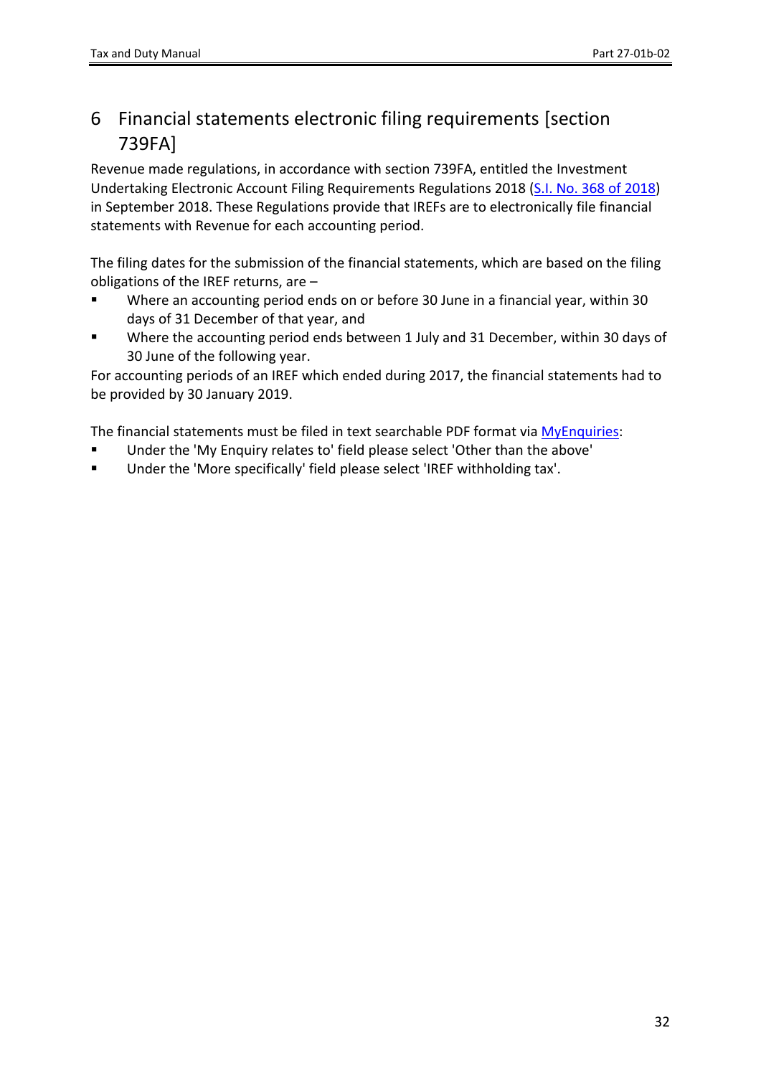# <span id="page-31-0"></span>6 Financial statements electronic filing requirements [section 739FA]

Revenue made regulations, in accordance with section 739FA, entitled the Investment Undertaking Electronic Account Filing Requirements Regulations 2018 ([S.I.](http://www.irishstatutebook.ie/eli/2018/si/368/made/en/pdf) [No.](http://www.irishstatutebook.ie/eli/2018/si/368/made/en/pdf) [368](http://www.irishstatutebook.ie/eli/2018/si/368/made/en/pdf) [of](http://www.irishstatutebook.ie/eli/2018/si/368/made/en/pdf) [2018](http://www.irishstatutebook.ie/eli/2018/si/368/made/en/pdf)) in September 2018. These Regulations provide that IREFs are to electronically file financial statements with Revenue for each accounting period.

The filing dates for the submission of the financial statements, which are based on the filing obligations of the IREF returns, are –

- Where an accounting period ends on or before 30 June in a financial year, within 30 days of 31 December of that year, and
- Where the accounting period ends between 1 July and 31 December, within 30 days of 30 June of the following year.

For accounting periods of an IREF which ended during 2017, the financial statements had to be provided by 30 January 2019.

The financial statements must be filed in text searchable PDF format via [MyEnquiries](https://www.revenue.ie/en/online-services/support/ros-help/using-ros/myenquiries-access-from-ros/index.aspx):

- Under the 'My Enquiry relates to' field please select 'Other than the above'
- <span id="page-31-1"></span>Under the 'More specifically' field please select 'IREF withholding tax'.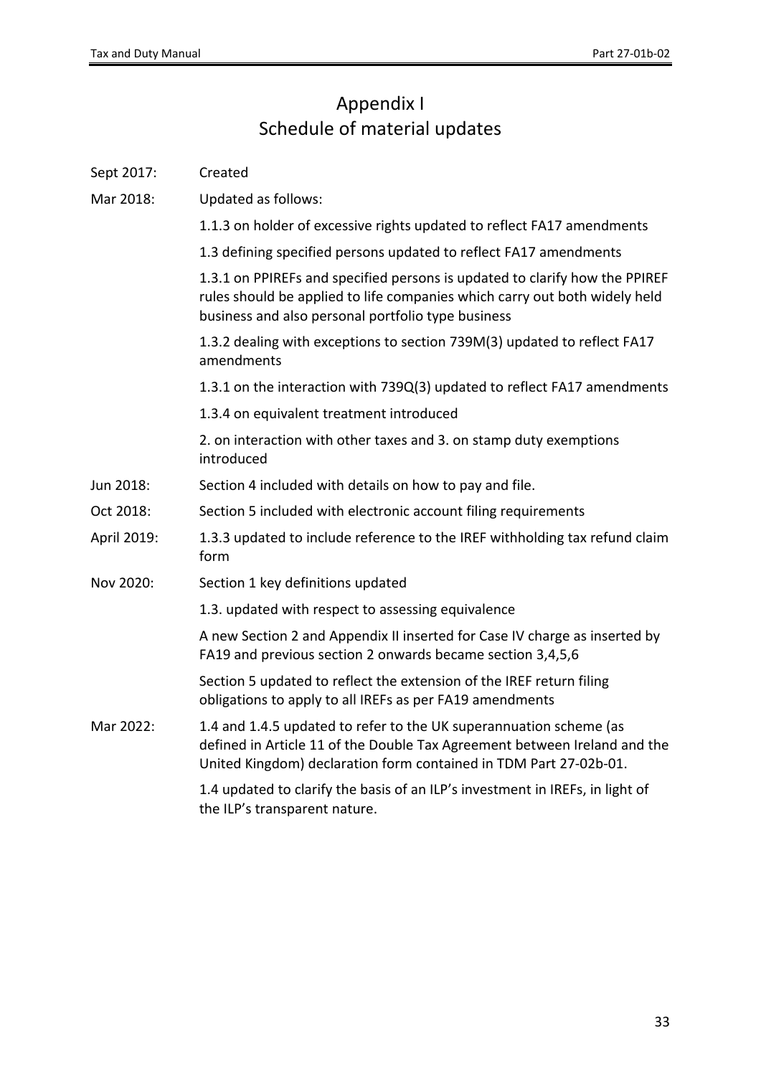# <span id="page-32-0"></span>Appendix I Schedule of material updates

<span id="page-32-1"></span>

| Sept 2017:  | Created                                                                                                                                                                                                              |
|-------------|----------------------------------------------------------------------------------------------------------------------------------------------------------------------------------------------------------------------|
| Mar 2018:   | Updated as follows:                                                                                                                                                                                                  |
|             | 1.1.3 on holder of excessive rights updated to reflect FA17 amendments                                                                                                                                               |
|             | 1.3 defining specified persons updated to reflect FA17 amendments                                                                                                                                                    |
|             | 1.3.1 on PPIREFs and specified persons is updated to clarify how the PPIREF<br>rules should be applied to life companies which carry out both widely held<br>business and also personal portfolio type business      |
|             | 1.3.2 dealing with exceptions to section 739M(3) updated to reflect FA17<br>amendments                                                                                                                               |
|             | 1.3.1 on the interaction with 739Q(3) updated to reflect FA17 amendments                                                                                                                                             |
|             | 1.3.4 on equivalent treatment introduced                                                                                                                                                                             |
|             | 2. on interaction with other taxes and 3. on stamp duty exemptions<br>introduced                                                                                                                                     |
| Jun 2018:   | Section 4 included with details on how to pay and file.                                                                                                                                                              |
| Oct 2018:   | Section 5 included with electronic account filing requirements                                                                                                                                                       |
| April 2019: | 1.3.3 updated to include reference to the IREF withholding tax refund claim<br>form                                                                                                                                  |
| Nov 2020:   | Section 1 key definitions updated                                                                                                                                                                                    |
|             | 1.3. updated with respect to assessing equivalence                                                                                                                                                                   |
|             | A new Section 2 and Appendix II inserted for Case IV charge as inserted by<br>FA19 and previous section 2 onwards became section 3,4,5,6                                                                             |
|             | Section 5 updated to reflect the extension of the IREF return filing<br>obligations to apply to all IREFs as per FA19 amendments                                                                                     |
| Mar 2022:   | 1.4 and 1.4.5 updated to refer to the UK superannuation scheme (as<br>defined in Article 11 of the Double Tax Agreement between Ireland and the<br>United Kingdom) declaration form contained in TDM Part 27-02b-01. |
|             | 1.4 updated to clarify the basis of an ILP's investment in IREFs, in light of<br>the ILP's transparent nature.                                                                                                       |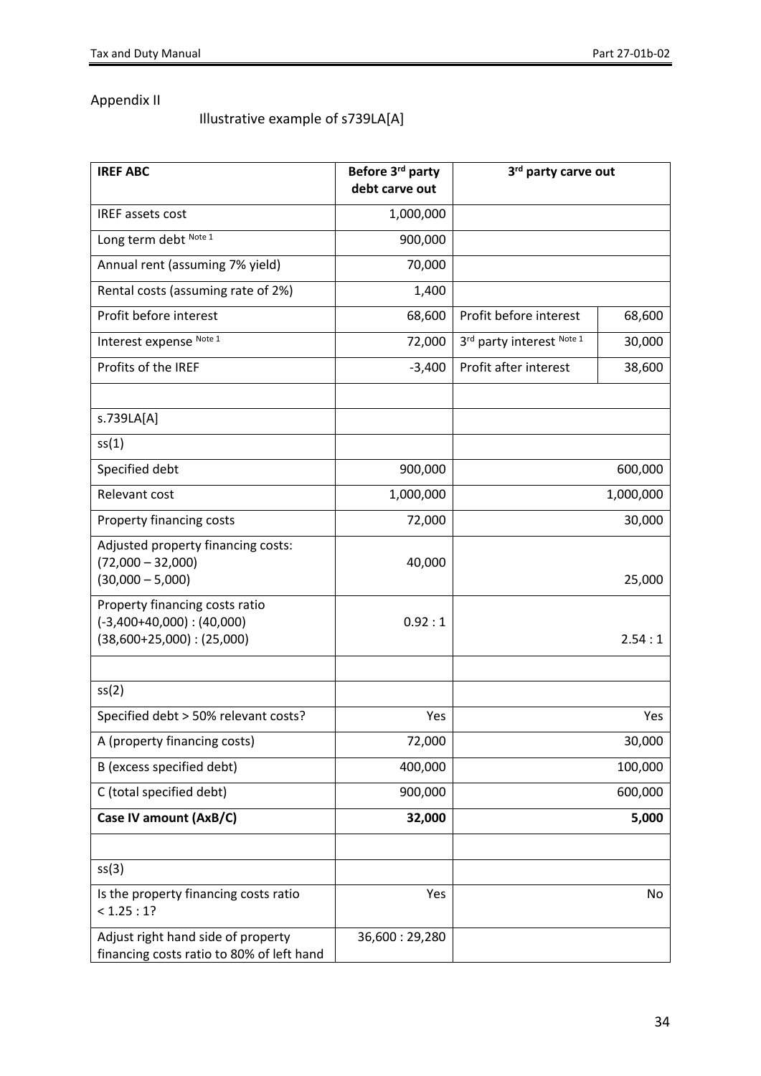## Appendix II

### Illustrative example of s739LA[A]

| <b>IREF ABC</b>                                                                                    | Before 3rd party<br>debt carve out | 3rd party carve out                 |         |  |  |
|----------------------------------------------------------------------------------------------------|------------------------------------|-------------------------------------|---------|--|--|
| IREF assets cost                                                                                   | 1,000,000                          |                                     |         |  |  |
| Long term debt Note 1                                                                              | 900,000                            |                                     |         |  |  |
| Annual rent (assuming 7% yield)                                                                    | 70,000                             |                                     |         |  |  |
| Rental costs (assuming rate of 2%)                                                                 | 1,400                              |                                     |         |  |  |
| Profit before interest                                                                             | 68,600                             | Profit before interest              | 68,600  |  |  |
| Interest expense Note 1                                                                            | 72,000                             | 3rd party interest Note 1<br>30,000 |         |  |  |
| Profits of the IREF                                                                                | $-3,400$                           | Profit after interest               | 38,600  |  |  |
| s.739LA[A]                                                                                         |                                    |                                     |         |  |  |
| ss(1)                                                                                              |                                    |                                     |         |  |  |
| Specified debt                                                                                     | 900,000                            |                                     | 600,000 |  |  |
| Relevant cost                                                                                      | 1,000,000                          | 1,000,000                           |         |  |  |
| Property financing costs                                                                           | 72,000                             | 30,000                              |         |  |  |
| Adjusted property financing costs:<br>$(72,000 - 32,000)$<br>$(30,000 - 5,000)$                    | 40,000                             |                                     | 25,000  |  |  |
| Property financing costs ratio<br>$(-3,400+40,000)$ : $(40,000)$<br>$(38,600+25,000)$ : $(25,000)$ | 0.92:1                             | 2.54:1                              |         |  |  |
| ss(2)                                                                                              |                                    |                                     |         |  |  |
| Specified debt > 50% relevant costs?                                                               | Yes                                |                                     | Yes     |  |  |
| A (property financing costs)                                                                       | 72,000                             |                                     | 30,000  |  |  |
| B (excess specified debt)                                                                          | 400,000                            | 100,000                             |         |  |  |
| C (total specified debt)                                                                           | 900,000                            | 600,000                             |         |  |  |
| Case IV amount (AxB/C)                                                                             | 32,000                             |                                     | 5,000   |  |  |
| ss(3)                                                                                              |                                    |                                     |         |  |  |
| Is the property financing costs ratio<br>< 1.25 : 1?                                               | Yes                                |                                     | No      |  |  |
| Adjust right hand side of property<br>financing costs ratio to 80% of left hand                    | 36,600:29,280                      |                                     |         |  |  |